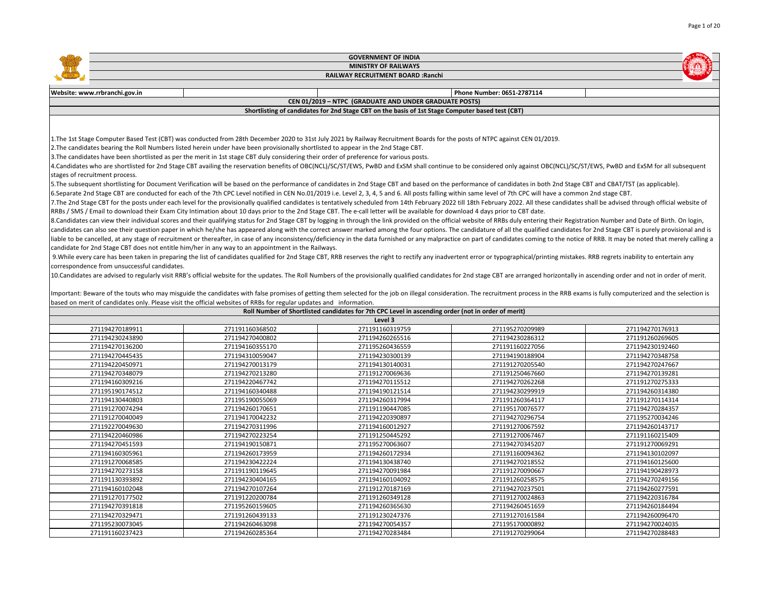|                                              |                                                                                                                                                                                                                                | <b>GOVERNMENT OF INDIA</b>                                                                         |                                    |                                    |
|----------------------------------------------|--------------------------------------------------------------------------------------------------------------------------------------------------------------------------------------------------------------------------------|----------------------------------------------------------------------------------------------------|------------------------------------|------------------------------------|
|                                              |                                                                                                                                                                                                                                | <b>MINISTRY OF RAILWAYS</b>                                                                        |                                    |                                    |
|                                              |                                                                                                                                                                                                                                | RAILWAY RECRUITMENT BOARD : Ranchi                                                                 |                                    |                                    |
|                                              |                                                                                                                                                                                                                                |                                                                                                    |                                    |                                    |
| Website: www.rrbranchi.gov.in                |                                                                                                                                                                                                                                |                                                                                                    | Phone Number: 0651-2787114         |                                    |
|                                              |                                                                                                                                                                                                                                | CEN 01/2019 - NTPC (GRADUATE AND UNDER GRADUATE POSTS)                                             |                                    |                                    |
|                                              |                                                                                                                                                                                                                                | Shortlisting of candidates for 2nd Stage CBT on the basis of 1st Stage Computer based test (CBT)   |                                    |                                    |
|                                              |                                                                                                                                                                                                                                |                                                                                                    |                                    |                                    |
|                                              |                                                                                                                                                                                                                                |                                                                                                    |                                    |                                    |
|                                              | 1. The 1st Stage Computer Based Test (CBT) was conducted from 28th December 2020 to 31st July 2021 by Railway Recruitment Boards for the posts of NTPC against CEN 01/2019.                                                    |                                                                                                    |                                    |                                    |
|                                              | 2. The candidates bearing the Roll Numbers listed herein under have been provisionally shortlisted to appear in the 2nd Stage CBT.                                                                                             |                                                                                                    |                                    |                                    |
|                                              | 3. The candidates have been shortlisted as per the merit in 1st stage CBT duly considering their order of preference for various posts.                                                                                        |                                                                                                    |                                    |                                    |
|                                              | 4. Candidates who are shortlisted for 2nd Stage CBT availing the reservation benefits of OBC(NCL)/SC/ST/EWS, PwBD and ExSM shall continue to be considered only against OBC(NCL)/SC/ST/EWS, PwBD and ExSM for all subsequent   |                                                                                                    |                                    |                                    |
| stages of recruitment process.               |                                                                                                                                                                                                                                |                                                                                                    |                                    |                                    |
|                                              | 5. The subsequent shortlisting for Document Verification will be based on the performance of candidates in 2nd Stage CBT and based on the performance of candidates in both 2nd Stage CBT and CBAT/TST (as applicable).        |                                                                                                    |                                    |                                    |
|                                              | 6. Separate 2nd Stage CBT are conducted for each of the 7th CPC Level notified in CEN No.01/2019 i.e. Level 2, 3, 4, 5 and 6. All posts falling within same level of 7th CPC will have a common 2nd stage CBT.                 |                                                                                                    |                                    |                                    |
|                                              | 7.The 2nd Stage CBT for the posts under each level for the provisionally qualified candidates is tentatively scheduled from 14th February 2022 till 18th February 2022. All these candidates shall be advised through official |                                                                                                    |                                    |                                    |
|                                              | RRBs / SMS / Email to download their Exam City Intimation about 10 days prior to the 2nd Stage CBT. The e-call letter will be available for download 4 days prior to CBT date.                                                 |                                                                                                    |                                    |                                    |
|                                              | 8.Candidates can view their individual scores and their qualifying status for 2nd Stage CBT by logging in through the link provided on the official website of RRBs duly entering their Registration Number and Date of Birth. |                                                                                                    |                                    |                                    |
|                                              | candidates can also see their question paper in which he/she has appeared along with the correct answer marked among the four options. The candidature of all the qualified candidates for 2nd Stage CBT is purely provisional |                                                                                                    |                                    |                                    |
|                                              | liable to be cancelled, at any stage of recruitment or thereafter, in case of any inconsistency/deficiency in the data furnished or any malpractice on part of candidates coming to the notice of RRB. It may be noted that me |                                                                                                    |                                    |                                    |
|                                              | candidate for 2nd Stage CBT does not entitle him/her in any way to an appointment in the Railways.                                                                                                                             |                                                                                                    |                                    |                                    |
|                                              | 9. While every care has been taken in preparing the list of candidates qualified for 2nd Stage CBT, RRB reserves the right to rectify any inadvertent error or typographical/printing mistakes. RRB regrets inability to enter |                                                                                                    |                                    |                                    |
| correspondence from unsuccessful candidates. |                                                                                                                                                                                                                                |                                                                                                    |                                    |                                    |
|                                              | 10. Candidates are advised to regularly visit RRB's official website for the updates. The Roll Numbers of the provisionally qualified candidates for 2nd stage CBT are arranged horizontally in ascending order and not in ord |                                                                                                    |                                    |                                    |
|                                              |                                                                                                                                                                                                                                |                                                                                                    |                                    |                                    |
|                                              | Important: Beware of the touts who may misguide the candidates with false promises of getting them selected for the job on illegal consideration. The recruitment process in the RRB exams is fully computerized and the selec |                                                                                                    |                                    |                                    |
|                                              | based on merit of candidates only. Please visit the official websites of RRBs for regular updates and information.                                                                                                             |                                                                                                    |                                    |                                    |
|                                              |                                                                                                                                                                                                                                | Roll Number of Shortlisted candidates for 7th CPC Level in ascending order (not in order of merit) |                                    |                                    |
|                                              |                                                                                                                                                                                                                                | Level 3                                                                                            |                                    |                                    |
| 271194270189911                              | 271191160368502                                                                                                                                                                                                                | 271191160319759                                                                                    | 271195270209989                    | 271194270176913                    |
| 271194230243890                              | 271194270400802                                                                                                                                                                                                                | 271194260265516                                                                                    | 271194230286312                    | 271191260269605                    |
| 271194270136200                              | 271194160355170                                                                                                                                                                                                                | 271195260436559                                                                                    | 271191160227056                    | 271194230192460                    |
| 271194270445435                              | 271194310059047                                                                                                                                                                                                                | 271194230300139                                                                                    | 271194190188904                    | 271194270348758                    |
| 271194220450971                              | 271194270013179                                                                                                                                                                                                                | 271194130140031                                                                                    | 271191270205540                    | 271194270247667                    |
| 271194270348079                              | 271194270213280                                                                                                                                                                                                                | 271191270069636                                                                                    | 271191250467660                    | 271194270139281                    |
| 271194160309216                              | 271194220467742                                                                                                                                                                                                                | 271194270115512                                                                                    | 271194270262268                    | 271191270275333                    |
| 271195190174512                              | 271194160340488                                                                                                                                                                                                                | 271194190121514                                                                                    | 271194230299919                    | 271194260314380                    |
| 271194130440803                              | 271195190055069                                                                                                                                                                                                                | 271194260317994                                                                                    | 271191260364117                    | 271191270114314                    |
| 271191270074294                              | 271194260170651                                                                                                                                                                                                                | 271191190447085                                                                                    | 271195170076577                    | 271194270284357                    |
| 271191270040049<br>271192270049630           | 271194170042232<br>271194270311996                                                                                                                                                                                             | 271194220390897<br>271194160012927                                                                 | 271194270296754<br>271191270067592 | 271195270034246<br>271194260143717 |
| 271194220460986                              | 271194270223254                                                                                                                                                                                                                | 271191250445292                                                                                    | 271191270067467                    | 271191160215409                    |
| 271194270451593                              | 271194190150871                                                                                                                                                                                                                | 271195270063607                                                                                    | 271194270345207                    | 271191270069291                    |
|                                              |                                                                                                                                                                                                                                |                                                                                                    |                                    |                                    |
| 271194160305961<br>271191270068585           | 271194260173959<br>271194230422224                                                                                                                                                                                             | 271194260172934<br>271194130438740                                                                 | 271191160094362<br>271194270218552 | 271194130102097<br>271194160125600 |
| 271194270273158                              | 271191190119645                                                                                                                                                                                                                | 271194270091984                                                                                    | 271191270090667                    | 271194190428973                    |
| 271191130393892                              | 271194230404165                                                                                                                                                                                                                | 271194160104092                                                                                    | 271191260258575                    | 271194270249156                    |
| 271194160102048                              | 271194270107264                                                                                                                                                                                                                | 271191270187169                                                                                    | 271194270237501                    | 271194260277591                    |
| 271191270177502                              | 271191220200784                                                                                                                                                                                                                | 271191260349128                                                                                    | 271191270024863                    | 271194220316784                    |
| 271194270391818                              | 271195260159605                                                                                                                                                                                                                | 271194260365630                                                                                    | 271194260451659                    | 271194260184494                    |
| 271194270329471                              | 271191260439133                                                                                                                                                                                                                | 271191230247376                                                                                    | 271191270161584                    | 271194260096470                    |
| 271195230073045                              | 271194260463098                                                                                                                                                                                                                | 271194270054357                                                                                    | 271195170000892                    | 271194270024035                    |
| 271191160237423                              | 271194260285364                                                                                                                                                                                                                | 271194270283484                                                                                    | 271191270299064                    | 271194270288483                    |
|                                              |                                                                                                                                                                                                                                |                                                                                                    |                                    |                                    |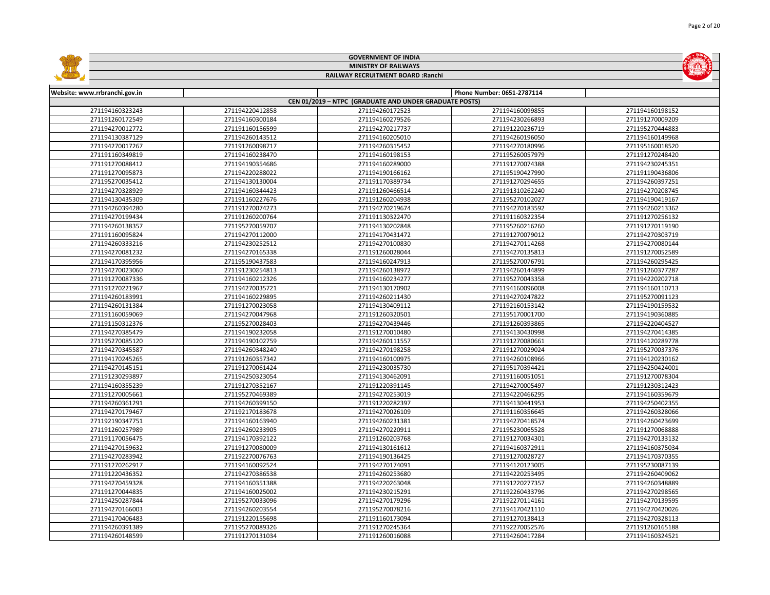|                               |                             | <b>GOVERNMENT OF INDIA</b>                             |                            |                 |  |  |  |
|-------------------------------|-----------------------------|--------------------------------------------------------|----------------------------|-----------------|--|--|--|
|                               | <b>MINISTRY OF RAILWAYS</b> |                                                        |                            |                 |  |  |  |
|                               |                             | RAILWAY RECRUITMENT BOARD : Ranchi                     |                            |                 |  |  |  |
|                               |                             |                                                        |                            |                 |  |  |  |
| Website: www.rrbranchi.gov.in |                             |                                                        | Phone Number: 0651-2787114 |                 |  |  |  |
|                               |                             | CEN 01/2019 - NTPC (GRADUATE AND UNDER GRADUATE POSTS) |                            |                 |  |  |  |
| 271194160323243               | 271194220412858             | 271194260172523                                        | 271194160099855            | 271194160198152 |  |  |  |
| 271191260172549               | 271194160300184             | 271194160279526                                        | 271194230266893            | 271191270009209 |  |  |  |
| 271194270012772               | 271191160156599             | 271194270217737                                        | 271191220236719            | 271195270444883 |  |  |  |
| 271194130387129               | 271194260143512             | 271194160205010                                        | 271194260196050            | 271194160149968 |  |  |  |
| 271194270017267               | 271191260098717             | 271194260315452                                        | 271194270180996            | 271195160018520 |  |  |  |
| 271191160349819               | 271194160238470             | 271194160198153                                        | 271195260057979            | 271191270248420 |  |  |  |
| 271191270088412               | 271194190354686             | 271194160289000                                        | 271191270074388            | 271194230245351 |  |  |  |
| 271191270095873               | 271194220288022             | 271194190166162                                        | 271195190427990            | 271191190436806 |  |  |  |
| 271195270035412               | 271194130130004             | 271191170389734                                        | 271191270294655            | 271194260397251 |  |  |  |
| 271194270328929               | 271194160344423             | 271191260466514                                        | 271191310262240            | 271194270208745 |  |  |  |
| 271194130435309               | 271191160227676             | 271191260204938                                        | 271195270102027            | 271194190419167 |  |  |  |
| 271194260394280               | 271191270074273             | 271194270219674                                        | 271194270183592            | 271194260213362 |  |  |  |
| 271194270199434               | 271191260200764             | 271191130322470                                        | 271191160322354            | 271191270256132 |  |  |  |
| 271194260138357               | 271195270059707             | 271194130202848                                        | 271195260216260            | 271191270119190 |  |  |  |
| 271191160095824               | 271194270112000             | 271194170431472                                        | 271191270079012            | 271194270303719 |  |  |  |
| 271194260333216               | 271194230252512             | 271194270100830                                        | 271194270114268            | 271194270080144 |  |  |  |
| 271194270081232               | 271194270165338             | 271191260028044                                        | 271194270135813            | 271191270052589 |  |  |  |
| 271194170395956               | 271195190437583             | 271194160247913                                        | 271195270076791            | 271194260295425 |  |  |  |
| 271194270023060               | 271191230254813             | 271194260138972                                        | 271194260144899            | 271191260377287 |  |  |  |
| 271191270087336               | 271194160212326             | 271194160234277                                        | 271195270043358            | 271194220202718 |  |  |  |
| 271191270221967               | 271194270035721             | 271194130170902                                        | 271194160096008            | 271194160110713 |  |  |  |
| 271194260183991               | 271194160229895             | 271194260211430                                        | 271194270247822            | 271195270091123 |  |  |  |
| 271194260131384               | 271191270023058             | 271194130409112                                        | 271192160153142            | 271194190159532 |  |  |  |
| 271191160059069               | 271194270047968             | 271191260320501                                        | 271195170001700            | 271194190360885 |  |  |  |
| 271191150312376               | 271195270028403             | 271194270439446                                        | 271191260393865            | 271194220404527 |  |  |  |
| 271194270385479               | 271194190232058             | 271191270010480                                        | 271194130430998            | 271194270414385 |  |  |  |
| 271195270085120               | 271194190102759             | 271194260111557                                        | 271191270080661            | 271194120289778 |  |  |  |
| 271194270345587               | 271194260348240             | 271194270198258                                        | 271191270029024            | 271195270037376 |  |  |  |
| 271194170245265               | 271191260357342             | 271194160100975                                        | 271194260108966            | 271194120230162 |  |  |  |
| 271194270145151               | 271191270061424             | 271194230035730                                        | 271195170394421            | 271194250424001 |  |  |  |
| 271191230293897               | 271194250323054             | 271194130462091                                        | 271191160051051            | 271191270078304 |  |  |  |
| 271194160355239               | 271191270352167             | 271191220391145                                        | 271194270005497            | 271191230312423 |  |  |  |
| 271191270005661               | 271195270469389             | 271194270253019                                        | 271194220466295            | 271194160359679 |  |  |  |
| 271194260361291               | 271194260399150             | 271191220282397                                        | 271194130441953            | 271194250402355 |  |  |  |
| 271194270179467               | 271192170183678             | 271194270026109                                        | 271191160356645            | 271194260328066 |  |  |  |
| 271192190347751               | 271194160163940             | 271194260231381                                        | 271194270418574            | 271194260423699 |  |  |  |
| 271191260257989               | 271194260233905             | 271194270220911                                        | 271195230065528            | 271191270068888 |  |  |  |
| 271191170056475               | 271194170392122             | 271191260203768                                        | 271191270034301            | 271194270133132 |  |  |  |
| 271194270159632               | 271191270080009             | 271194130161612                                        | 271194160372911            | 271194160375034 |  |  |  |
| 271194270283942               | 271192270076763             | 271194190136425                                        | 271191270028727            | 271194170370355 |  |  |  |
| 271191270262917               | 271194160092524             | 271194270174091                                        | 271194120123005            | 271195230087139 |  |  |  |
| 271191220436352               | 271194270386538             | 271194260253680                                        | 271194220253495            | 271194260409062 |  |  |  |
| 271194270459328               | 271194160351388             | 271194220263048                                        | 271191220277357            | 271194260348889 |  |  |  |
| 271191270044835               | 271194160025002             | 271194230215291                                        | 271192260433796            | 271194270298565 |  |  |  |
| 271194250287844               | 271195270033096             | 271194270179296                                        | 271192270114161            | 271194270139595 |  |  |  |
| 271194270166003               | 271194260203554             | 271195270078216                                        | 271194170421110            | 271194270420026 |  |  |  |
| 271194170406483               | 271191220155698             | 271191160173094                                        | 271191270138413            | 271194270328113 |  |  |  |
| 271194260391389               | 271195270089326             | 271191270245364                                        | 271192270052576            | 271191260165188 |  |  |  |
| 271194260148599               | 271191270131034             | 271191260016088                                        | 271194260417284            | 271194160324521 |  |  |  |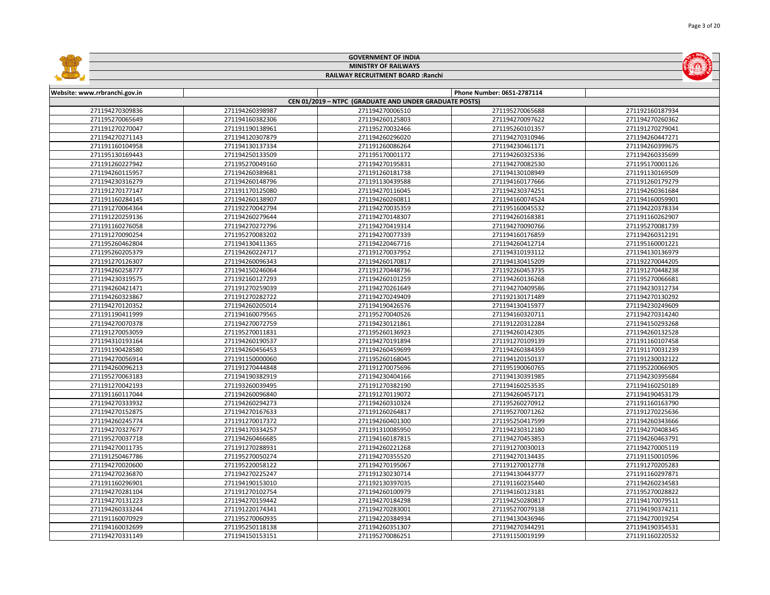|                               |                             | <b>GOVERNMENT OF INDIA</b>                             |                            |                 |  |  |  |
|-------------------------------|-----------------------------|--------------------------------------------------------|----------------------------|-----------------|--|--|--|
|                               | <b>MINISTRY OF RAILWAYS</b> |                                                        |                            |                 |  |  |  |
|                               |                             | RAILWAY RECRUITMENT BOARD : Ranchi                     |                            |                 |  |  |  |
|                               |                             |                                                        |                            |                 |  |  |  |
| Website: www.rrbranchi.gov.in |                             |                                                        | Phone Number: 0651-2787114 |                 |  |  |  |
|                               |                             | CEN 01/2019 - NTPC (GRADUATE AND UNDER GRADUATE POSTS) |                            |                 |  |  |  |
| 271194270309836               | 271194260398987             | 271194270006510                                        | 271195270065688            | 271192160187934 |  |  |  |
| 271195270065649               | 271194160382306             | 271194260125803                                        | 271194270097622            | 271194270260362 |  |  |  |
| 271191270270047               | 271191190138961             | 271195270032466                                        | 271195260101357            | 271191270279041 |  |  |  |
| 271194270271143               | 271194120307879             | 271194260296020                                        | 271194270310946            | 271194260447271 |  |  |  |
| 271191160104958               | 271194130137334             | 271191260086264                                        | 271194230461171            | 271194260399675 |  |  |  |
| 271195130169443               | 271194250133509             | 271195170001172                                        | 271194260325336            | 271194260335699 |  |  |  |
| 271191260227942               | 271195270049160             | 271194270195831                                        | 271194270082530            | 271195170001126 |  |  |  |
| 271194260115957               | 271194260389681             | 271191260181738                                        | 271194130108949            | 271191130169509 |  |  |  |
| 271194230316279               | 271194260148796             | 271191130439588                                        | 271194160177666            | 271191260179279 |  |  |  |
| 271191270177147               | 271191170125080             | 271194270116045                                        | 271194230374251            | 271194260361684 |  |  |  |
| 271191160284145               | 271194260138907             | 271194260260811                                        | 271194160074524            | 271194160059901 |  |  |  |
| 271191270064364               | 271192270042794             | 271194270035359                                        | 271195160045532            | 271194220378334 |  |  |  |
| 271191220259136               | 271194260279644             | 271194270148307                                        | 271194260168381            | 271191160262907 |  |  |  |
| 271191160276058               | 271194270272796             | 271194270419314                                        | 271194270090766            | 271195270081739 |  |  |  |
| 271191270090254               | 271195270083202             | 271194270077339                                        | 271194160176859            | 271194260312191 |  |  |  |
| 271195260462804               | 271194130411365             | 271194220467716                                        | 271194260412714            | 271195160001221 |  |  |  |
| 271195260205379               | 271194260224717             | 271191270037952                                        | 271194310193112            | 271194130136979 |  |  |  |
| 271191270126307               | 271194260096343             | 271194260170817                                        | 271194130415209            | 271192270044205 |  |  |  |
| 271194260258777               | 271194150246064             | 271191270448736                                        | 271192260453735            | 271191270448238 |  |  |  |
| 271194230319575               | 271192160127293             | 271194260101259                                        | 271194260136268            | 271195270066681 |  |  |  |
| 271194260421471               | 271191270259039             | 271194270261649                                        | 271194270409586            | 271194230312734 |  |  |  |
| 271194260323867               | 271191270282722             | 271194270249409                                        | 271192130171489            | 271194270130292 |  |  |  |
| 271194270120352               | 271194260205014             | 271194190426576                                        | 271194130415977            | 271194230249609 |  |  |  |
| 271191190411999               | 271194160079565             | 271195270040526                                        | 271194160320711            | 271194270314240 |  |  |  |
| 271194270070378               | 271194270072759             | 271194230121861                                        | 271191220312284            | 271194150293268 |  |  |  |
| 271191270053059               | 271195270011831             | 271195260136923                                        | 271194260142305            | 271194260132528 |  |  |  |
| 271194310193164               | 271194260190537             | 271194270191894                                        | 271191270109139            | 271191160107458 |  |  |  |
| 271191190428580               | 271194260456453             | 271194260459699                                        | 271194260384359            | 271191170031239 |  |  |  |
| 271194270056914               | 271191150000060             | 271195260168045                                        | 271194120150137            | 271191230032122 |  |  |  |
| 271194260096213               | 271191270444848             | 271191270075696                                        | 271195190060765            | 271195220066905 |  |  |  |
| 271195270063183               | 271194190382919             | 271194230404166                                        | 271194130391985            | 271194230395684 |  |  |  |
| 271191270042193               | 271193260039495             | 271191270382190                                        | 271194160253535            | 271194160250189 |  |  |  |
| 271191160117044               | 271194260096840             | 271191270119072                                        | 271194260457171            | 271194190453179 |  |  |  |
| 271194270333932               | 271194260294273             | 271194260310324                                        | 271195260270912            | 271191160163790 |  |  |  |
| 271194270152875               | 271194270167633             | 271191260264817                                        | 271195270071262            | 271191270225636 |  |  |  |
| 271194260245774               | 271191270017372             | 271194260401300                                        | 271195250417599            | 271194260343666 |  |  |  |
| 271194270327677               | 271194170334257             | 271191310085950                                        | 271194230312180            | 271194270408345 |  |  |  |
| 271195270037718               | 271194260466685             | 271194160187815                                        | 271194270453853            | 271194260463791 |  |  |  |
| 271194270011735               | 271191270288931             | 271194260221268                                        | 271191270030013            | 271194270005119 |  |  |  |
| 271191250467786               | 271195270050274             | 271194270355520                                        | 271194270134435            | 271191150010596 |  |  |  |
| 271194270020600               | 271195220058122             | 271194270195067                                        | 271191270012778            | 271191270205283 |  |  |  |
| 271194270236870               | 271194270225247             | 271191230230714                                        | 271194130443777            | 271191160297871 |  |  |  |
| 271191160296901               | 271194190153010             | 271192130397035                                        | 271191160235440            | 271194260234583 |  |  |  |
| 271194270281104               | 271191270102754             | 271194260100979                                        | 271194160123181            | 271195270028822 |  |  |  |
| 271194270131223               | 271194270159442             | 271194270184298                                        | 271194250280817            | 271194170079511 |  |  |  |
| 271194260333244               | 271191220174341             | 271194270283001                                        | 271195270079138            | 271194190374211 |  |  |  |
| 271191160070929               | 271195270060935             | 271194220384934                                        | 271194130436946            | 271194270019254 |  |  |  |
| 271194160032699               | 271195250118138             | 271194260351307                                        | 271194270344291            | 271194190354531 |  |  |  |
| 271194270331149               | 271194150153151             | 271195270086251                                        | 271191150019199            | 271191160220532 |  |  |  |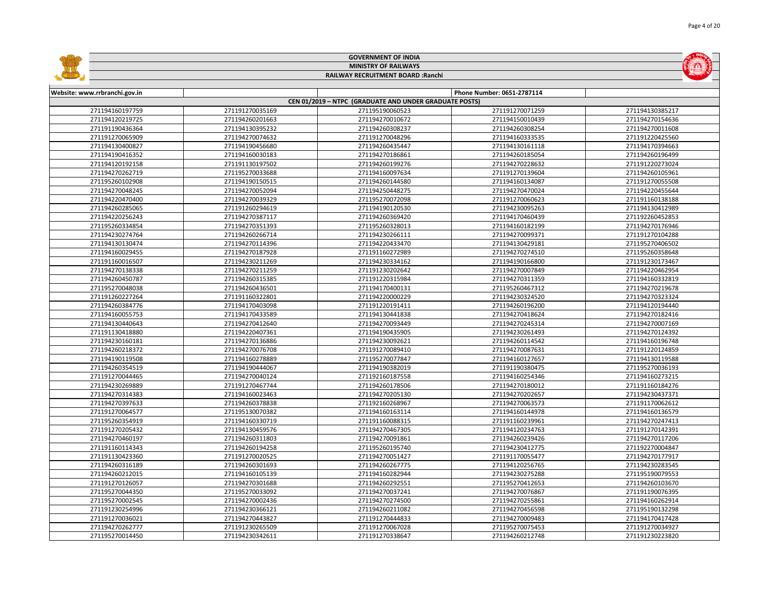|                                    |                 | <b>GOVERNMENT OF INDIA</b>                             |                            |                 |  |
|------------------------------------|-----------------|--------------------------------------------------------|----------------------------|-----------------|--|
| <b>MINISTRY OF RAILWAYS</b>        |                 |                                                        |                            |                 |  |
| RAILWAY RECRUITMENT BOARD : Ranchi |                 |                                                        |                            |                 |  |
|                                    |                 |                                                        |                            |                 |  |
| Website: www.rrbranchi.gov.in      |                 |                                                        | Phone Number: 0651-2787114 |                 |  |
|                                    |                 | CEN 01/2019 - NTPC (GRADUATE AND UNDER GRADUATE POSTS) |                            |                 |  |
| 271194160197759                    | 271191270035169 | 271195190060523                                        | 271191270071259            | 271194130385217 |  |
| 271194120219725                    | 271194260201663 | 271194270010672                                        | 271194150010439            | 271194270154636 |  |
| 271191190436364                    | 271194130395232 | 271194260308237                                        | 271194260308254            | 271194270011608 |  |
| 271191270065909                    | 271194270074632 | 271191270048296                                        | 271194160333535            | 271191220425560 |  |
| 271194130400827                    | 271194190456680 | 271194260435447                                        | 271194130161118            | 271194170394663 |  |
| 271194190416352                    | 271194160030183 | 271194270186861                                        | 271194260185054            | 271194260196499 |  |
| 271194120192158                    | 271191130197502 | 271194260199276                                        | 271194270228632            | 271191220273024 |  |
| 271194270262719                    | 271195270033688 | 271194160097634                                        | 271191270139604            | 271194260105961 |  |
| 271195260102908                    | 271194190150515 | 271194260144580                                        | 271194160134087            | 271191270055508 |  |
| 271194270048245                    | 271194270052094 | 271194250448275                                        | 271194270470024            | 271194220455644 |  |
| 271194220470400                    | 271194270039329 | 271195270072098                                        | 271191270060623            | 271191160138188 |  |
| 271194260285065                    | 271191260294619 | 271194190120530                                        | 271194230095263            | 271194130412989 |  |
| 271194220256243                    | 271194270387117 | 271194260369420                                        | 271194170460439            | 271192260452853 |  |
| 271195260334854                    | 271194270351393 | 271195260328013                                        | 271194160182199            | 271194270176946 |  |
| 271194230274764                    | 271194260266714 | 271194230266111                                        | 271194270099371            | 271191270104288 |  |
| 271194130130474                    | 271194270114396 | 271194220433470                                        | 271194130429181            | 271195270406502 |  |
| 271194160029455                    | 271194270187928 | 271191160272989                                        | 271194270274510            | 271195260358648 |  |
| 271191160016507                    | 271194230211269 | 271194230334162                                        | 271194190166800            | 271191230173467 |  |
| 271194270138338                    | 271194270211259 | 271191230202642                                        | 271194270007849            | 271194220462954 |  |
| 271194260450787                    | 271194260315385 | 271191220315984                                        | 271194270311359            | 271194160332819 |  |
| 271195270048038                    | 271194260436501 | 271194170400131                                        | 271195260467312            | 271194270219678 |  |
| 271191260227264                    | 271191160322801 | 271194220000229                                        | 271194230324520            | 271194270323324 |  |
| 271194260384776                    | 271194170403098 | 271191220191411                                        | 271194260196200            | 271194120194440 |  |
| 271194160055753                    | 271194170433589 | 271194130441838                                        | 271194270418624            | 271194270182416 |  |
| 271194130440643                    | 271194270412640 | 271194270093449                                        | 271194270245314            | 271194270007169 |  |
| 271191130418880                    | 271194220407361 | 271194190435905                                        | 271194230261493            | 271194270124392 |  |
| 271194230160181                    | 271194270136886 | 271194230092621                                        | 271194260114542            | 271194160196748 |  |
| 271194260218372                    | 271194270076708 | 271191270089410                                        | 271194270087631            | 271191220124859 |  |
| 271194190119508                    | 271194160278889 | 271195270077847                                        | 271194160127657            | 271194130119588 |  |
| 271194260354519                    | 271194190444067 | 271194190382019                                        | 271191190380475            | 271195270036193 |  |
| 271191270044465                    | 271194270040124 | 271192160187558                                        | 271194160254346            | 271194160273215 |  |
| 271194230269889                    | 271191270467744 | 271194260178506                                        | 271194270180012            | 271191160184276 |  |
| 271194270314383                    | 271194160023463 | 271194270205130                                        | 271194270202657            | 271194230437371 |  |
| 271194270397633                    | 271194260378838 | 271192160268967                                        | 271194270063573            | 271191170062612 |  |
| 271191270064577                    | 271195130070382 | 271194160163114                                        | 271194160144978            | 271194160136579 |  |
| 271195260354919                    | 271194160330719 | 271191160088315                                        | 271191160239961            | 271194270247413 |  |
| 271191270205432                    | 271194130459576 | 271194270467305                                        | 271194120234763            | 271191270142391 |  |
| 271194270460197                    | 271194260311803 | 271194270091861                                        | 271194260239426            | 271194270117206 |  |
| 271191160114343                    | 271194260194258 | 271195260195740                                        | 271194230412775            | 271192270004847 |  |
| 271191130423360                    | 271191270020525 | 271194270051427                                        | 271191170055477            | 271194270177917 |  |
| 271194260316189                    | 271194260301693 | 271194260267775                                        | 271194120256765            | 271194230283545 |  |
| 271194260212015                    | 271194160105139 | 271194160282944                                        | 271194230275288            | 271195190079553 |  |
| 271191270126057                    | 271194270301688 | 271194260292551                                        | 271195270412653            | 271194260103670 |  |
| 271195270044350                    | 271195270033092 | 271194270037241                                        | 271194270076867            | 271191190076395 |  |
| 271195270002545                    | 271194270002436 | 271194270274500                                        | 271194270255861            | 271194160262914 |  |
| 271191230254996                    | 271194230366121 | 271194260211082                                        | 271194270456598            | 271195190132298 |  |
| 271191270036021                    | 271194270443827 | 271191270444833                                        | 271194270009483            | 271194170417428 |  |
| 271194270262777                    | 271191230265509 | 271191270067028                                        | 271195270075453            | 271191270034927 |  |
| 271195270014450                    | 271194230342611 | 271191270338647                                        | 271194260212748            | 271191230223820 |  |



## **GOVERNMENT OF INDIA**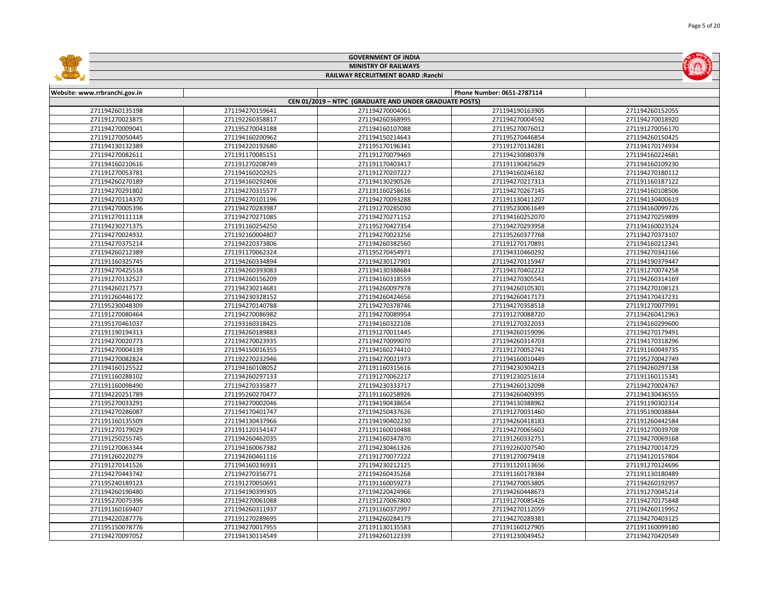|                               |                 | <b>GOVERNMENT OF INDIA</b>                             |                            |                 |  |  |
|-------------------------------|-----------------|--------------------------------------------------------|----------------------------|-----------------|--|--|
|                               |                 | <b>MINISTRY OF RAILWAYS</b>                            |                            |                 |  |  |
|                               |                 | RAILWAY RECRUITMENT BOARD : Ranchi                     |                            |                 |  |  |
|                               |                 |                                                        |                            |                 |  |  |
| Website: www.rrbranchi.gov.in |                 |                                                        | Phone Number: 0651-2787114 |                 |  |  |
|                               |                 | CEN 01/2019 - NTPC (GRADUATE AND UNDER GRADUATE POSTS) |                            |                 |  |  |
| 271194260135198               | 271194270159641 | 271194270004061                                        | 271194190163905            | 271194260152055 |  |  |
| 271191270023875               | 271192260358817 | 271194260368995                                        | 271194270004592            | 271194270018920 |  |  |
| 271194270009041               | 271195270043188 | 271194160107088                                        | 271195270076012            | 271191270056170 |  |  |
| 271191270050445               | 271194160200962 | 271194150214643                                        | 271195270446854            | 271194260150425 |  |  |
| 271194130132389               | 271194220192680 | 271195170196341                                        | 271191270134281            | 271194170174934 |  |  |
| 271194270082611               | 271191170085151 | 271191270079469                                        | 271194230080378            | 271194160224681 |  |  |
| 271194160210616               | 271191270208749 | 271191170403417                                        | 271191190425629            | 271194160109230 |  |  |
| 271191270053781               | 271194160202925 | 271191270207227                                        | 271194160246182            | 271194270180112 |  |  |
| 271194260270189               | 271194160292406 | 271194130290526                                        | 271194270217313            | 271191160187122 |  |  |
| 271194270291802               | 271194270315577 | 271191160258616                                        | 271194270267145            | 271194160108506 |  |  |
| 271194270114370               | 271194270101196 | 271194270093288                                        | 271191130411207            | 271194130400619 |  |  |
| 271194270005396               | 271194270283987 | 271191270285030                                        | 271195230061649            | 271194160099726 |  |  |
| 271191270111118               | 271194270271085 | 271194270271152                                        | 271194160252070            | 271194270259899 |  |  |
| 271194230271375               | 271191160254250 | 271195270427354                                        | 271194270293958            | 271194160023524 |  |  |
| 271194270024932               | 271192160004807 | 271194270023256                                        | 271195260377768            | 271194270373107 |  |  |
| 271194270375214               | 271194220373806 | 271194260382560                                        | 271191270170891            | 271194160212341 |  |  |
| 271194260212389               | 271191170062324 | 271195270454971                                        | 271194310460292            | 271194270342166 |  |  |
| 271191160325745               | 271194260334894 | 271194230127901                                        | 271194270115947            | 271194190379447 |  |  |
| 271194270425518               | 271194260393083 | 271194130388684                                        | 271194170402212            | 271191270074258 |  |  |
| 271191270132527               | 271194260156209 | 271194160318559                                        | 271194270305541            | 271194260314169 |  |  |
| 271194260217573               | 271194230214681 | 271194260097978                                        | 271194260105301            | 271194270108123 |  |  |
| 271191260446172               | 271194230328152 | 271194260424656                                        | 271194260417173            | 271194170437231 |  |  |
| 271195230048309               | 271194270140788 | 271194270378746                                        | 271194270358518            | 271191270077991 |  |  |
| 271191270080464               | 271194270086982 | 271194270089954                                        | 271191270088720            | 271194260412963 |  |  |
| 271195170461037               | 271193160318425 | 271194160322108                                        | 271191270322033            | 271194160299600 |  |  |
| 271191190194313               | 271194260189883 | 271191270011445                                        | 271194260159096            | 271194270179491 |  |  |
| 271194270020773               | 271194270023935 | 271194270099070                                        | 271194260314703            | 271194170318296 |  |  |
| 271194270004139               | 271194150016355 | 271194160274410                                        | 271191270052741            | 271191160049735 |  |  |
| 271194270082824               | 271192270232946 | 271194270021973                                        | 271194160010449            | 271195270042749 |  |  |
| 271194160125522               | 271194160108052 | 271191160315616                                        | 271194230304213            | 271194260297138 |  |  |
| 271191160288102               | 271194260297133 | 271191270062217                                        | 271191230251614            | 271191160115341 |  |  |
| 271191160098490               | 271194270335877 | 271194230333717                                        | 271194260132098            | 271194270024767 |  |  |
| 271194220251789               | 271195260270477 | 271191160258926                                        | 271194260409395            | 271194130436555 |  |  |
| 271195270033291               | 271194270002046 | 271194190438654                                        | 271194130388962            | 271191190302314 |  |  |
| 271194270286087               | 271194170401747 | 271194250437626                                        | 271191270031460            | 271195190038844 |  |  |
| 271191160135509               | 271194130437966 | 271194190402230                                        | 271194260418183            | 271191260442584 |  |  |
| 271191270179029               | 271191120154147 | 271191160010488                                        | 271194270065602            | 271191270039708 |  |  |
| 271191250255745               | 271194260462035 | 271194160347870                                        | 271191260332751            | 271194270069168 |  |  |
| 271191270063344               | 271194160067382 | 271194230461326                                        | 271192260207540            | 271194270014729 |  |  |
| 271191260220279               | 271194260461116 | 271191270077222                                        | 271191270079418            | 271194120157804 |  |  |
| 271191270141526               | 271194160236931 | 271194230212125                                        | 271191120113656            | 271191270124696 |  |  |
| 271194270443742               | 271194270356771 | 271194260435268                                        | 271191160178384            | 271191130180489 |  |  |
| 271195240189123               | 271191270050691 | 271191160059273                                        | 271194270053805            | 271194260192957 |  |  |
| 271194260190480               | 271194190399305 | 271194220424966                                        | 271194260448673            | 271191270045214 |  |  |
| 271195270075396               | 271194270061088 | 271191270067800                                        | 271191270085426            | 271194270175848 |  |  |
| 271191160169407               | 271194260311937 | 271191160372997                                        | 271194270112059            | 271194260119952 |  |  |
| 271194220287776               | 271191270289695 | 271194260284179                                        | 271194270289381            | 271194270403125 |  |  |
| 271195150078776               | 271194270017955 | 271191130135583                                        | 271191160127905            | 271191160099180 |  |  |
| 271194270097052               | 271194130114549 | 271194260122339                                        | 271191230049452            | 271194270420549 |  |  |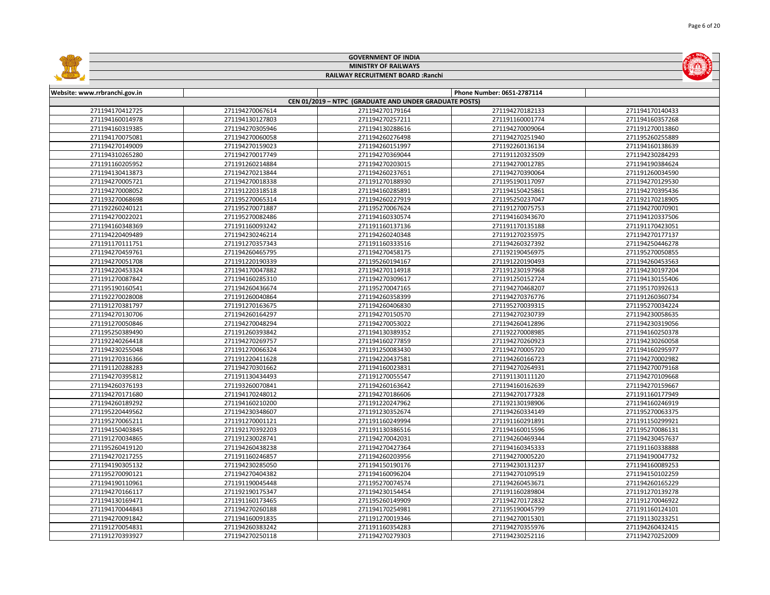|                                    |                                    | <b>GOVERNMENT OF INDIA</b>                             |                                    |                                    |  |  |
|------------------------------------|------------------------------------|--------------------------------------------------------|------------------------------------|------------------------------------|--|--|
| <b>MINISTRY OF RAILWAYS</b>        |                                    |                                                        |                                    |                                    |  |  |
|                                    |                                    | RAILWAY RECRUITMENT BOARD : Ranchi                     |                                    |                                    |  |  |
|                                    |                                    |                                                        |                                    |                                    |  |  |
| Website: www.rrbranchi.gov.in      |                                    |                                                        | Phone Number: 0651-2787114         |                                    |  |  |
|                                    |                                    | CEN 01/2019 - NTPC (GRADUATE AND UNDER GRADUATE POSTS) |                                    |                                    |  |  |
| 271194170412725                    | 271194270067614                    | 271194270179164                                        | 271194270182133                    | 271194170140433                    |  |  |
| 271194160014978                    | 271194130127803                    | 271194270257211                                        | 271191160001774                    | 271194160357268                    |  |  |
| 271194160319385                    | 271194270305946                    | 271194130288616                                        | 271194270009064                    | 271191270013860                    |  |  |
| 271194170075081                    | 271194270060058                    | 271194260276498                                        | 271194270251940                    | 271195260255889                    |  |  |
| 271194270149009                    | 271194270159023                    | 271194260151997                                        | 271192260136134                    | 271194160138639                    |  |  |
| 271194310265280                    | 271194270017749                    | 271194270369044                                        | 271191120323509                    | 271194230284293                    |  |  |
| 271191160205952                    | 271191260214884                    | 271194270203015                                        | 271194270012785                    | 271194190384624                    |  |  |
| 271194130413873                    | 271194270213844                    | 271194260237651                                        | 271194270390064                    | 271191260034590                    |  |  |
| 271194270005721                    | 271194270018338                    | 271191270188930                                        | 271195190117097                    | 271194270129530                    |  |  |
| 271194270008052                    | 271191220318518                    | 271194160285891                                        | 271194150425861                    | 271194270395436                    |  |  |
| 271193270068698                    | 271195270065314                    | 271194260227919                                        | 271195250237047                    | 271192170218905                    |  |  |
| 271192260240121                    | 271195270071887                    | 271195270067624                                        | 271191270075753                    | 271194270070901                    |  |  |
| 271194270022021                    | 271195270082486                    | 271194160330574                                        | 271194160343670                    | 271194120337506                    |  |  |
| 271194160348369                    | 271191160093242                    | 271191160137136                                        | 271191170135188                    | 271191170423051                    |  |  |
| 271194220409489                    | 271194230246214                    | 271194260240348                                        | 271191270235975                    | 271194270177137                    |  |  |
| 271191170111751                    | 271191270357343                    | 271191160333516                                        | 271194260327392                    | 271194250446278                    |  |  |
| 271194270459761                    | 271194260465795                    | 271194270458175                                        | 271192190456975                    | 271195270050855                    |  |  |
| 271194270051708                    | 271191220190339                    | 271195260194167                                        | 271191220190493                    | 271194260453563                    |  |  |
| 271194220453324                    | 271194170047882                    | 271194270114918                                        | 271191230197968                    | 271194230197204                    |  |  |
| 271191270087842                    | 271194160285310                    | 271194270309617                                        | 271191250152724                    | 271194130155406                    |  |  |
| 271195190160541                    | 271194260436674                    | 271195270047165                                        | 271194270468207                    | 271195170392613                    |  |  |
| 271192270028008                    | 271191260040864                    | 271194260358399                                        | 271194270376776                    | 271191260360734                    |  |  |
| 271191270381797                    | 271191270163675                    | 271194260406830                                        | 271195270039315                    | 271195270034224                    |  |  |
| 271194270130706                    | 271194260164297                    | 271194270150570                                        | 271194270230739                    | 271194230058635                    |  |  |
| 271191270050846                    | 271194270048294                    | 271194270053022                                        | 271194260412896                    | 271194230319056                    |  |  |
| 271195250389490                    | 271191260393842                    | 271194130389352                                        | 271192270008985                    | 271194160250378                    |  |  |
| 271192240264418                    | 271194270269757                    | 271194160277859                                        | 271194270260923                    | 271194230260058                    |  |  |
| 271194230255048                    | 271191270066324                    | 271191250083430                                        | 271194270005720                    | 271194160295977                    |  |  |
| 271191270316366                    | 271191220411628                    | 271194220437581                                        | 271194260166723                    | 271194270002982                    |  |  |
| 271191120288283                    | 271194270301662                    | 271194160023831                                        | 271194270264931                    | 271194270079168                    |  |  |
| 271194270395812                    | 271191130434493                    | 271191270055547                                        | 271191130111120                    | 271194270109668                    |  |  |
| 271194260376193                    | 271193260070841                    | 271194260163642                                        | 271194160162639                    | 271194270159667                    |  |  |
| 271194270171680                    | 271194170248012                    | 271194270186606                                        | 271194270177328                    | 271191160177949                    |  |  |
| 271194260189292                    | 271194160210200                    | 271191220247962                                        | 271192130198906                    | 271194160246919                    |  |  |
| 271195220449562                    | 271194230348607                    | 271191230352674                                        | 271194260334149                    | 271195270063375                    |  |  |
| 271195270065211                    | 271191270001121                    | 271191160249994                                        | 271191160291891                    | 271191150299921                    |  |  |
| 271194150403845                    | 271192170392203                    | 271191130386516                                        | 271194160015596                    | 271195270086131                    |  |  |
| 271191270034865                    | 271191230028741                    | 271194270042031                                        | 271194260469344                    | 271194230457637                    |  |  |
| 271195260419120                    | 271194260438238                    | 271194270427364                                        | 271194160345333                    | 271191160338888                    |  |  |
| 271194270217255                    | 271191160246857                    | 271194260203956                                        | 271194270005220                    | 271194190047732                    |  |  |
| 271194190305132                    | 271194230285050                    | 271194150190176                                        | 271194230131237                    | 271194160089253                    |  |  |
| 271195270090121                    | 271194270404382                    | 271194160096204                                        | 271194270109519                    | 271194150102259                    |  |  |
| 271194190110961                    | 271191190045448                    | 271195270074574                                        | 271194260453671                    | 271194260165229                    |  |  |
| 271194270166117                    | 271192190175347                    | 271194230154454                                        | 271191160289804                    | 271191270139278                    |  |  |
| 271194130169471                    | 271191160173465                    | 271195260149909                                        | 271194270172832                    | 271191270046922                    |  |  |
| 271194170044843                    | 271194270260188                    | 271194170254981                                        | 271195190045799                    | 271191160124101                    |  |  |
| 271194270091842                    | 271194160091835                    | 271191270019346                                        | 271194270015301                    | 271191130233251                    |  |  |
| 271191270054831<br>271191270393927 | 271194260383242<br>271194270250118 | 271191160354283<br>271194270279303                     | 271194270355976<br>271194230252116 | 271194260432415<br>271194270252009 |  |  |
|                                    |                                    |                                                        |                                    |                                    |  |  |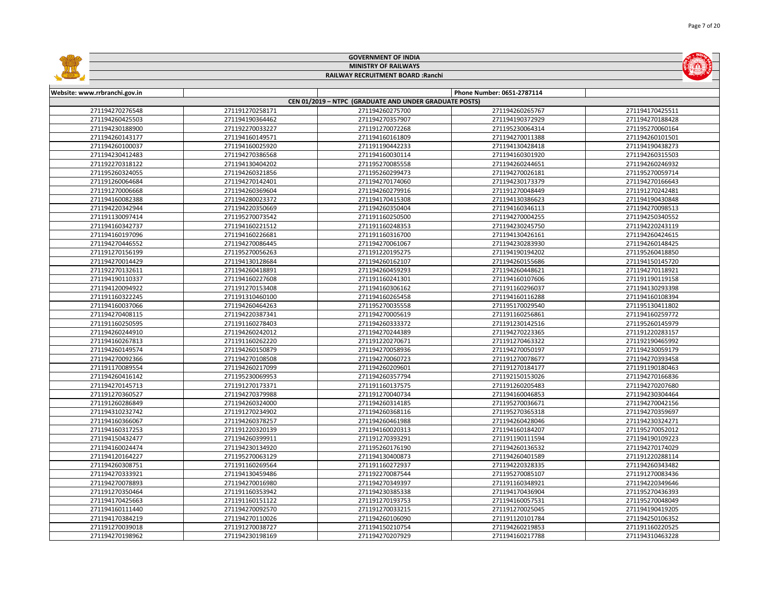|                                    |                            | <b>GOVERNMENT OF INDIA</b>                             |                 |                 |  |  |
|------------------------------------|----------------------------|--------------------------------------------------------|-----------------|-----------------|--|--|
|                                    |                            | <b>MINISTRY OF RAILWAYS</b>                            |                 |                 |  |  |
| RAILWAY RECRUITMENT BOARD : Ranchi |                            |                                                        |                 |                 |  |  |
| Website: www.rrbranchi.gov.in      | Phone Number: 0651-2787114 |                                                        |                 |                 |  |  |
|                                    |                            | CEN 01/2019 - NTPC (GRADUATE AND UNDER GRADUATE POSTS) |                 |                 |  |  |
| 271194270276548                    | 271191270258171            | 271194260275700                                        | 271194260265767 | 271194170425511 |  |  |
| 271194260425503                    | 271194190364462            | 271194270357907                                        | 271194190372929 | 271194270188428 |  |  |
| 271194230188900                    | 271192270033227            | 271191270072268                                        | 271195230064314 | 271195270060164 |  |  |
| 271194260143177                    | 271194160149571            | 271194160161809                                        | 271194270011388 | 271194260101501 |  |  |
| 271194260100037                    | 271194160025920            | 271191190442233                                        | 271194130428418 | 271194190438273 |  |  |
| 271194230412483                    | 271194270386568            | 271194160030114                                        | 271194160301920 | 271194260315503 |  |  |
| 271192270318122                    | 271194130404202            | 271195270085558                                        | 271194260244651 | 271194260246932 |  |  |
| 271195260324055                    | 271194260321856            | 271195260299473                                        | 271194270026181 | 271195270059714 |  |  |
| 271191260064684                    | 271194270142401            | 271194270174060                                        | 271194230173379 | 271194270166643 |  |  |
| 271191270006668                    | 271194260369604            | 271194260279916                                        | 271191270048449 | 271191270242481 |  |  |
| 271194160082388                    | 271194280023372            | 271194170415308                                        | 271194130386623 | 271194190430848 |  |  |
| 271194220342944                    | 271194220350669            | 271194260350404                                        | 271194160346113 | 271194270098513 |  |  |
| 271191130097414                    | 271195270073542            | 271191160250500                                        | 271194270004255 | 271194250340552 |  |  |
| 271194160342737                    | 271194160221512            | 271191160248353                                        | 271194230245750 | 271194220243119 |  |  |
| 271194160197096                    | 271194160226681            | 271191160316700                                        | 271194130426161 | 271194260424615 |  |  |
| 271194270446552                    | 271194270086445            | 271194270061067                                        | 271194230283930 | 271194260148425 |  |  |
| 271191270156199                    | 271195270056263            | 271191220195275                                        | 271194190194202 | 271195260418850 |  |  |
| 271194270014429                    | 271194130128684            | 271194260162107                                        | 271194260155686 | 271194150145720 |  |  |
| 271192270132611                    | 271194260418891            | 271194260459293                                        | 271194260448621 | 271194270118921 |  |  |
| 271194190110337                    | 271194160227608            | 271191160241301                                        | 271194160107606 | 271191190119158 |  |  |
| 271194120094922                    | 271191270153408            | 271194160306162                                        | 271191160296037 | 271194130293398 |  |  |
| 271191160322245                    | 271191310460100            | 271194160265458                                        | 271194160116288 | 271194160108394 |  |  |
| 271194160037066                    | 271194260464263            | 271195270035558                                        | 271195170029540 | 271195130411802 |  |  |
| 271194270408115                    | 271194220387341            | 271194270005619                                        | 271191160256861 | 271194160259772 |  |  |
| 271191160250595                    | 271191160278403            | 271194260333372                                        | 271191230142516 | 271195260145979 |  |  |
| 271194260244910                    | 271194260242012            | 271194270244389                                        | 271194270223365 | 271191220283157 |  |  |
| 271194160267813                    | 271191160262220            | 271191220270671                                        | 271191270463322 | 271192190465992 |  |  |
| 271194260149574                    | 271194260150879            | 271194270058936                                        | 271194270050197 | 271194230059179 |  |  |
| 271194270092366                    | 271194270108508            | 271194270060723                                        | 271191270078677 | 271194270393458 |  |  |
| 271191170089554                    | 271194260217099            | 271194260209601                                        | 271191270184177 | 271191190180463 |  |  |
| 271194260416142                    | 271195230069953            | 271194260357794                                        | 271192150153026 | 271194270166836 |  |  |
| 271194270145713                    | 271191270173371            | 271191160137575                                        | 271191260205483 | 271194270207680 |  |  |
| 271191270360527                    | 271194270379988            | 271191270040734                                        | 271194160046853 | 271194230304464 |  |  |
| 271191260286849                    | 271194260324000            | 271194260314185                                        | 271195270036671 | 271194270042156 |  |  |
| 271194310232742                    | 271191270234902            | 271194260368116                                        | 271195270365318 | 271194270359697 |  |  |
| 271194160366067                    | 271194260378257            | 271194260461988                                        | 271194260428046 | 271194230324271 |  |  |
| 271194160317253                    | 271191220320139            | 271194160020313                                        | 271194160184207 | 271195270052012 |  |  |
| 271194150432477                    | 271194260399911            | 271191270393291                                        | 271191190111594 | 271194190109223 |  |  |
| 271194160024474                    | 271194230134920            | 271195260176190                                        | 271194260136532 | 271194270174029 |  |  |
| 271194120164227                    | 271195270063129            | 271194130400873                                        | 271194260401589 | 271191220288114 |  |  |
| 271194260308751                    | 271191160269564            | 271191160272937                                        | 271194220328335 | 271194260343482 |  |  |
| 271194270333921                    | 271194130459486            | 271192270087544                                        | 271195270085107 | 271191270083436 |  |  |
| 271194270078893                    | 271194270016980            | 271194270349397                                        | 271191160348921 | 271194220349646 |  |  |
| 271191270350464                    | 271191160353942            | 271194230385338                                        | 271194170436904 | 271195270436393 |  |  |
| 271194170425663                    | 271191160151122            | 271191270193753                                        | 271194160057531 | 271195270048049 |  |  |
| 271194160111440                    | 271194270092570            | 271191270033215                                        | 271191270025045 | 271194190419205 |  |  |
| 271194170384219                    | 271194270110026            | 271194260106090                                        | 271191120101784 | 271194250106352 |  |  |
| 271191270039018                    | 271191270038727            | 271194150210754                                        | 271194260219853 | 271191160220525 |  |  |
| 271194270198962                    | 271194230198169            | 271194270207929                                        | 271194160217788 | 271194310463228 |  |  |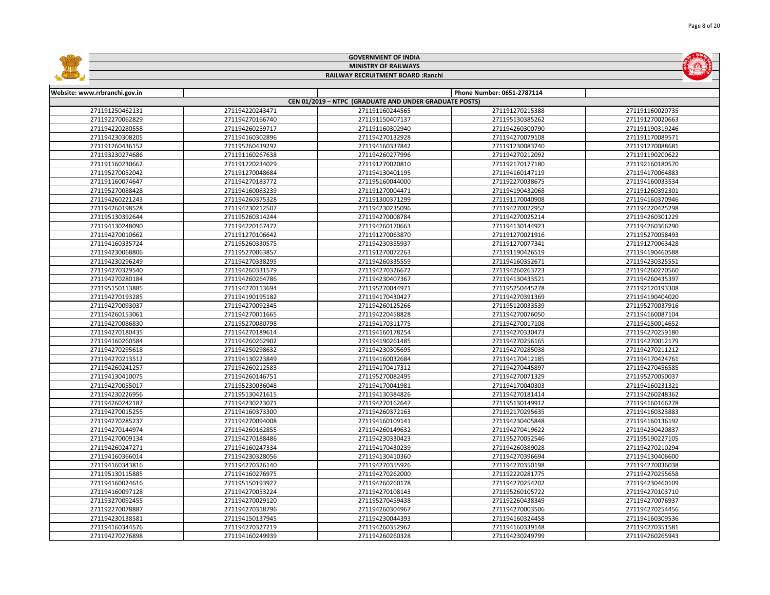|                               |                 | <b>GOVERNMENT OF INDIA</b>                             |                            |                 |  |  |
|-------------------------------|-----------------|--------------------------------------------------------|----------------------------|-----------------|--|--|
| <b>MINISTRY OF RAILWAYS</b>   |                 |                                                        |                            |                 |  |  |
|                               |                 | RAILWAY RECRUITMENT BOARD : Ranchi                     |                            |                 |  |  |
|                               |                 |                                                        |                            |                 |  |  |
| Website: www.rrbranchi.gov.in |                 |                                                        | Phone Number: 0651-2787114 |                 |  |  |
|                               |                 | CEN 01/2019 - NTPC (GRADUATE AND UNDER GRADUATE POSTS) |                            |                 |  |  |
| 271191250462131               | 271194220243471 | 271191160244565                                        | 271191270215388            | 271191160020735 |  |  |
| 271192270062829               | 271194270166740 | 271191150407137                                        | 271195130385262            | 271191270020663 |  |  |
| 271194220280558               | 271194260259717 | 271191160302940                                        | 271194260300790            | 271191190319246 |  |  |
| 271194230308205               | 271194160302896 | 271194270132928                                        | 271194270079108            | 271191170089571 |  |  |
| 271191260436152               | 271195260439292 | 271194160337842                                        | 271191230083740            | 271191270088681 |  |  |
| 271193230274686               | 271191160267638 | 271194260277996                                        | 271194270212092            | 271191190200622 |  |  |
| 271191160230662               | 271191220234029 | 271191270020810                                        | 271192170177180            | 271192160180570 |  |  |
| 271195270052042               | 271191270048684 | 271194130401195                                        | 271194160147119            | 271194170064883 |  |  |
| 271191160074647               | 271194270183772 | 271195160044000                                        | 271192270038675            | 271194160033534 |  |  |
| 271195270088428               | 271194160083239 | 271191270004471                                        | 271194190432068            | 271191260392301 |  |  |
| 271194260221243               | 271194260375328 | 271191300371299                                        | 271191170040908            | 271194160370946 |  |  |
| 271194260198528               | 271194230212507 | 271194230235096                                        | 271194270022952            | 271194220425298 |  |  |
| 271195130392644               | 271195260314244 | 271194270008784                                        | 271194270025214            | 271194260301229 |  |  |
| 271194130248090               | 271194220167472 | 271194260170663                                        | 271194130144923            | 271194260366290 |  |  |
| 271194270010662               | 271191270106642 | 271191270063870                                        | 271191270021916            | 271195270058493 |  |  |
| 271194160335724               | 271195260330575 | 271194230355937                                        | 271191270077341            | 271191270063428 |  |  |
| 271194230068806               | 271195270063857 | 271191270072263                                        | 271191190426519            | 271194190460588 |  |  |
| 271194230296249               | 271194270338295 | 271194260335559                                        | 271194160352671            | 271194230325551 |  |  |
| 271194270329540               | 271194260331579 | 271194270326672                                        | 271194260263723            | 271194260270560 |  |  |
| 271194270280184               | 271194260264786 | 271194230407367                                        | 271194130433521            | 271194260435397 |  |  |
| 271195150113885               | 271194270113694 | 271195270044971                                        | 271195250445278            | 271192120193308 |  |  |
| 271194270193285               | 271194190195182 | 271194170430427                                        | 271194270391369            | 271194190404020 |  |  |
| 271194270093037               | 271194270092345 | 271194260125266                                        | 271195120033539            | 271195270037916 |  |  |
| 271194260153061               | 271194270011665 | 271194220458828                                        | 271194270076050            | 271194160087104 |  |  |
| 271194270086830               | 271195270080798 | 271194170311775                                        | 271194270017108            | 271194150014652 |  |  |
| 271194270180435               | 271194270189614 | 271194160178254                                        | 271194270330473            | 271194270259180 |  |  |
| 271194160260584               | 271194260262902 | 271194190261485                                        | 271194270256165            | 271194270012179 |  |  |
| 271194270295618               | 271194250298632 | 271194230305695                                        | 271194270285038            | 271194270211212 |  |  |
| 271194270213512               | 271194130223849 | 271194160032684                                        | 271194170412185            | 271194170424761 |  |  |
| 271194260241257               | 271194260212583 | 271194170417312                                        | 271194270445897            | 271194270456585 |  |  |
| 271194130410075               | 271194260146751 | 271195270082495                                        | 271194270071329            | 271195270050037 |  |  |
| 271194270055017               | 271195230036048 | 271194170041981                                        | 271194170040303            | 271194160231321 |  |  |
| 271194230226956               | 271195130421615 | 271194130384826                                        | 271194270181414            | 271194260248362 |  |  |
| 271194260242187               | 271194230223071 | 271194270162647                                        | 271195130149912            | 271194160166278 |  |  |
| 271194270015255               | 271194160373300 | 271194260372163                                        | 271192170295635            | 271194160323883 |  |  |
| 271194270285237               | 271194270094008 | 271194160109141                                        | 271194230405848            | 271194160136192 |  |  |
| 271194270144974               | 271194260162855 | 271194260149632                                        | 271194270419622            | 271194230420837 |  |  |
| 271194270009134               | 271194270188486 | 271194230330423                                        | 271195270052546            | 271195190227105 |  |  |
| 271194260247271               | 271194160247334 | 271194170430239                                        | 271194260389028            | 271194270210294 |  |  |
| 271194160366014               | 271194230328056 | 271194130410360                                        | 271194270396694            | 271194130406600 |  |  |
| 271194160343816               | 271194270326140 | 271194270355926                                        | 271194270350198            | 271194270036038 |  |  |
| 271195130115885               | 271194160276975 | 271194270262000                                        | 271192220281775            | 271194270255658 |  |  |
| 271194160024616               | 271195150193927 | 271194260260178                                        | 271194270254202            | 271194230460109 |  |  |
| 271194160097128               | 271194270053224 | 271194270108143                                        | 271195260105722            | 271194270103710 |  |  |
| 271193270092455               | 271194270029120 | 271195270459438                                        | 271192260438349            | 271194270076937 |  |  |
| 271192270078887               | 271194270318796 | 271194260304967                                        | 271194270003506            | 271194270254456 |  |  |
| 271194230138581               | 271194150137945 | 271194230044393                                        | 271194160324458            | 271194160309536 |  |  |
| 271194160344576               | 271194270327219 | 271194260352962                                        | 271194160339148            | 271194270351581 |  |  |
| 271194270276898               | 271194160249939 | 271194260260328                                        | 271194230249799            | 271194260265943 |  |  |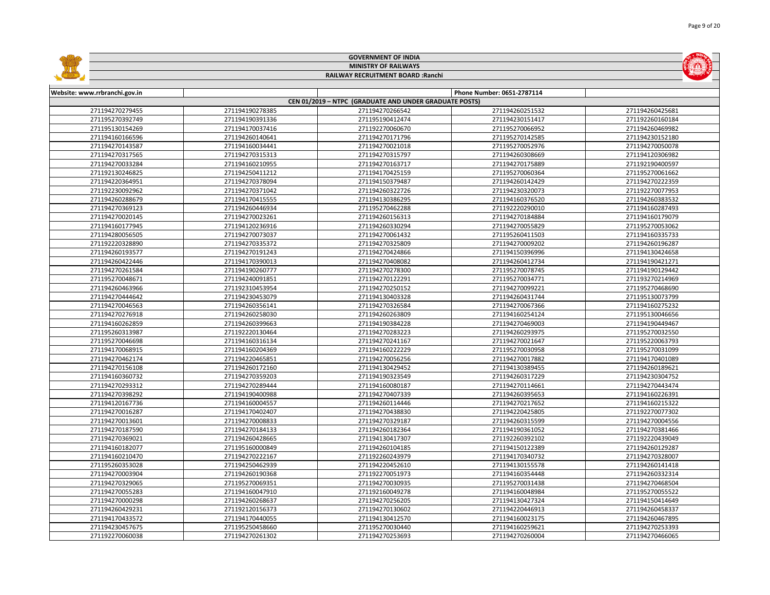|                               |                 | <b>GOVERNMENT OF INDIA</b>                             |                            |                 |
|-------------------------------|-----------------|--------------------------------------------------------|----------------------------|-----------------|
| <b>MINISTRY OF RAILWAYS</b>   |                 |                                                        |                            |                 |
|                               |                 | RAILWAY RECRUITMENT BOARD : Ranchi                     |                            |                 |
|                               |                 |                                                        |                            |                 |
| Website: www.rrbranchi.gov.in |                 |                                                        | Phone Number: 0651-2787114 |                 |
|                               |                 | CEN 01/2019 - NTPC (GRADUATE AND UNDER GRADUATE POSTS) |                            |                 |
| 271194270279455               | 271194190278385 | 271194270266542                                        | 271194260251532            | 271194260425681 |
| 271195270392749               | 271194190391336 | 271195190412474                                        | 271194230151417            | 271192260160184 |
| 271195130154269               | 271194170037416 | 271192270060670                                        | 271195270066952            | 271194260469982 |
| 271194160166596               | 271194260140641 | 271194270171796                                        | 271195270142585            | 271194230152180 |
| 271194270143587               | 271194160034441 | 271194270021018                                        | 271195270052976            | 271194270050078 |
| 271194270317565               | 271194270315313 | 271194270315797                                        | 271194260308669            | 271194120306982 |
| 271194270033284               | 271194160210955 | 271194270163717                                        | 271194270175889            | 271192190400597 |
| 271192130246825               | 271194250411212 | 271194170425159                                        | 271195270060364            | 271195270061662 |
| 271194220364951               | 271194270378094 | 271194150379487                                        | 271194260142429            | 271194270222359 |
| 271192230092962               | 271194270371042 | 271194260322726                                        | 271194230320073            | 271192270077953 |
| 271194260288679               | 271194170415555 | 271194130386295                                        | 271194160376520            | 271194260383532 |
| 271194270369123               | 271194260446934 | 271195270462288                                        | 271192220290010            | 271194160287493 |
| 271194270020145               | 271194270023261 | 271194260156313                                        | 271194270184884            | 271194160179079 |
| 271194160177945               | 271194120236916 | 271194260330294                                        | 271194270055829            | 271195270053062 |
| 271194280056505               | 271194270073037 | 271194270061432                                        | 271195260411503            | 271194160335733 |
| 271192220328890               | 271194270335372 | 271194270325809                                        | 271194270009202            | 271194260196287 |
| 271194260193577               | 271194270191243 | 271194270424866                                        | 271194150396996            | 271194130424658 |
| 271194260422446               | 271194170390013 | 271194270408082                                        | 271194260412734            | 271194190421271 |
| 271194270261584               | 271194190260777 | 271194270278300                                        | 271195270078745            | 271194190129442 |
| 271195270048671               | 271194240091851 | 271194270122291                                        | 271195270034771            | 271193270214969 |
| 271194260463966               | 271192310453954 | 271194270250152                                        | 271194270099221            | 271195270468690 |
| 271194270444642               | 271194230453079 | 271194130403328                                        | 271194260431744            | 271195130073799 |
| 271194270046563               | 271194260356141 | 271194270326584                                        | 271194270067366            | 271194160275232 |
| 271194270276918               | 271194260258030 | 271194260263809                                        | 271194160254124            | 271195130046656 |
| 271194160262859               | 271194260399663 | 271194190384228                                        | 271194270469003            | 271194190449467 |
| 271195260313987               | 271192220130464 | 271194270283223                                        | 271194260293975            | 271195270032550 |
| 271195270046698               | 271194160316134 | 271194270241167                                        | 271194270021647            | 271195220063793 |
| 271194170068915               | 271194160204369 | 271194160222229                                        | 271195270030958            | 271195270031099 |
| 271194270462174               | 271194220465851 | 271194270056256                                        | 271194270017882            | 271194170401089 |
| 271194270156108               | 271194260172160 | 271194130429452                                        | 271194130389455            | 271194260189621 |
| 271194160360732               | 271194270359203 | 271194190323549                                        | 271194260317229            | 271194230304752 |
| 271194270293312               | 271194270289444 | 271194160080187                                        | 271194270114661            | 271194270443474 |
| 271194270398292               | 271194190400988 | 271194270407339                                        | 271194260395653            | 271194160226391 |
| 271194120167736               | 271194160004557 | 271194260114446                                        | 271194270217652            | 271194160215322 |
| 271194270016287               | 271194170402407 | 271194270438830                                        | 271194220425805            | 271192270077302 |
| 271194270013601               | 271194270008833 | 271194270329187                                        | 271194260315599            | 271194270004556 |
| 271194270187590               | 271194270184133 | 271194260182364                                        | 271194190361052            | 271194270381466 |
| 271194270369021               | 271194260428665 | 271194130417307                                        | 271192260392102            | 271192220439049 |
| 271194160182077               | 271195160000849 | 271194260104185                                        | 271194150122389            | 271194260129287 |
| 271194160210470               | 271194270222167 | 271192260243979                                        | 271194170340732            | 271194270328007 |
| 271195260353028               | 271194250462939 | 271194220452610                                        | 271194130155578            | 271194260141418 |
| 271194270003904               | 271194260190368 | 271192270051973                                        | 271194160354448            | 271194260332314 |
| 271194270329065               | 271195270069351 | 271194270030935                                        | 271195270031438            | 271194270468504 |
| 271194270055283               | 271194160047910 | 271192160049278                                        | 271194160048984            | 271195270055522 |
| 271194270000298               | 271194260268637 | 271194270256205                                        | 271194130427324            | 271194150414649 |
| 271194260429231               | 271192120156373 | 271194270130602                                        | 271194220446913            | 271194260458337 |
| 271194170433572               | 271194170440055 | 271194130412570                                        | 271194160023175            | 271194260467895 |
| 271194230457675               | 271195250458660 | 271195270030440                                        | 271194160259621            | 271194270253393 |
| 271192270060038               | 271194270261302 | 271194270253693                                        | 271194270260004            | 271194270466065 |



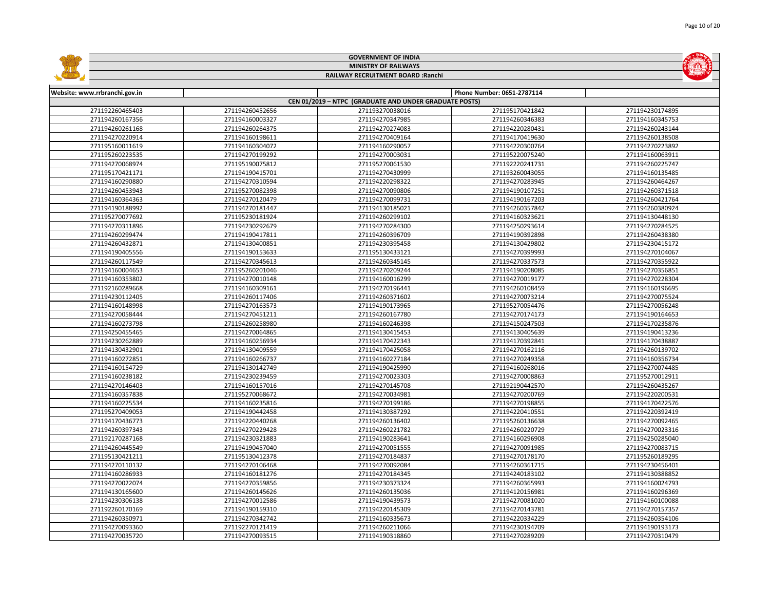|                               |                             | <b>GOVERNMENT OF INDIA</b>                             |                            |                 |  |  |
|-------------------------------|-----------------------------|--------------------------------------------------------|----------------------------|-----------------|--|--|
|                               | <b>MINISTRY OF RAILWAYS</b> |                                                        |                            |                 |  |  |
|                               |                             | RAILWAY RECRUITMENT BOARD : Ranchi                     |                            |                 |  |  |
|                               |                             |                                                        |                            |                 |  |  |
| Website: www.rrbranchi.gov.in |                             |                                                        | Phone Number: 0651-2787114 |                 |  |  |
|                               |                             | CEN 01/2019 - NTPC (GRADUATE AND UNDER GRADUATE POSTS) |                            |                 |  |  |
| 271192260465403               | 271194260452656             | 271193270038016                                        | 271195170421842            | 271194230174895 |  |  |
| 271194260167356               | 271194160003327             | 271194270347985                                        | 271194260346383            | 271194160345753 |  |  |
| 271194260261168               | 271194260264375             | 271194270274083                                        | 271194220280431            | 271194260243144 |  |  |
| 271194270220914               | 271194160198611             | 271194270409164                                        | 271194170419630            | 271194260138508 |  |  |
| 271195160011619               | 271194160304072             | 271194160290057                                        | 271194220300764            | 271194270223892 |  |  |
| 271195260223535               | 271194270199292             | 271194270003031                                        | 271195220075240            | 271194160063911 |  |  |
| 271194270068974               | 271195190075812             | 271195270061530                                        | 271192220241731            | 271194260225747 |  |  |
| 271195170421171               | 271194190415701             | 271194270430999                                        | 271193260043055            | 271194160135485 |  |  |
| 271194160290880               | 271194270310594             | 271194220298322                                        | 271194270283945            | 271194260464267 |  |  |
| 271194260453943               | 271195270082398             | 271194270090806                                        | 271194190107251            | 271194260371518 |  |  |
| 271194160364363               | 271194270120479             | 271194270099731                                        | 271194190167203            | 271194260421764 |  |  |
| 271194190188992               | 271194270181447             | 271194130185021                                        | 271194260357842            | 271194260380924 |  |  |
| 271195270077692               | 271195230181924             | 271194260299102                                        | 271194160323621            | 271194130448130 |  |  |
| 271194270311896               | 271194230292679             | 271194270284300                                        | 271194250293614            | 271194270284525 |  |  |
| 271194260299474               | 271194190417811             | 271194260396709                                        | 271194190392898            | 271194260438380 |  |  |
| 271194260432871               | 271194130400851             | 271194230395458                                        | 271194130429802            | 271194230415172 |  |  |
| 271194190405556               | 271194190153633             | 271195130433121                                        | 271194270399993            | 271194270104067 |  |  |
| 271194260117549               | 271194270345613             | 271194260345145                                        | 271194270337573            | 271194270355922 |  |  |
| 271194160004653               | 271195260201046             | 271194270209244                                        | 271194190208085            | 271194270356851 |  |  |
| 271194160353802               | 271194270010148             | 271194160016299                                        | 271194270019177            | 271194270228304 |  |  |
| 271192160289668               | 271194160309161             | 271194270196441                                        | 271194260108459            | 271194160196695 |  |  |
| 271194230112405               | 271194260117406             | 271194260371602                                        | 271194270073214            | 271194270075524 |  |  |
| 271194160148998               | 271194270163573             | 271194190173965                                        | 271195270054476            | 271194270056248 |  |  |
| 271194270058444               | 271194270451211             | 271194260167780                                        | 271194270174173            | 271194190164653 |  |  |
| 271194160273798               | 271194260258980             | 271194160246398                                        | 271194150247503            | 271194170235876 |  |  |
| 271194250455465               | 271194270064865             | 271194130415453                                        | 271194130405639            | 271194190413236 |  |  |
| 271194230262889               | 271194160256934             | 271194170422343                                        | 271194170392841            | 271194170438887 |  |  |
| 271194130432901               | 271194130409559             | 271194170425058                                        | 271194270162116            | 271194260139702 |  |  |
| 271194160272851               | 271194160266737             | 271194160277184                                        | 271194270249358            | 271194160356734 |  |  |
| 271194160154729               | 271194130142749             | 271194190425990                                        | 271194160268016            | 271194270074485 |  |  |
| 271194160238182               | 271194230239459             | 271194270023303                                        | 271194270008863            | 271195270012911 |  |  |
| 271194270146403               | 271194160157016             | 271194270145708                                        | 271192190442570            | 271194260435267 |  |  |
| 271194160357838               | 271195270068672             | 271194270034981                                        | 271194270200769            | 271194220200531 |  |  |
| 271194160225534               | 271194160235816             | 271194270199186                                        | 271194270198855            | 271194170422576 |  |  |
| 271195270409053               | 271194190442458             | 271194130387292                                        | 271194220410551            | 271194220392419 |  |  |
| 271194170436773               | 271194220440268             | 271194260136402                                        | 271195260136638            | 271194270092465 |  |  |
| 271194260397343               | 271194270229428             | 271194260221782                                        | 271194260220729            | 271194270023316 |  |  |
| 271192170287168               | 271194230321883             | 271194190283641                                        | 271194160296908            | 271194250285040 |  |  |
| 271194260445549               | 271194190457040             | 271194270051555                                        | 271194270091985            | 271194270083715 |  |  |
| 271195130421211               | 271195130412378             | 271194270184837                                        | 271194270178170            | 271195260189295 |  |  |
| 271194270110132               | 271194270106468             | 271194270092084                                        | 271194260361715            | 271194230456401 |  |  |
| 271194160286933               | 271194160181276             | 271194270184345                                        | 271194240183102            | 271194130388852 |  |  |
| 271194270022074               | 271194270359856             | 271194230373324                                        | 271194260365993            | 271194160024793 |  |  |
| 271194130165600               | 271194260145626             | 271194260135036                                        | 271194120156981            | 271194160296369 |  |  |
| 271194230306138               | 271194270012586             | 271194190439573                                        | 271194270081020            | 271194160100088 |  |  |
| 271192260170169               | 271194190159310             | 271194220145309                                        | 271194270143781            | 271194270157357 |  |  |
| 271194260350971               | 271194270342742             | 271194160335673                                        | 271194220334229            | 271194260354106 |  |  |
| 271194270093360               | 271192270121419             | 271194260211066                                        | 271194230194709            | 271194190193173 |  |  |
| 271194270035720               | 271194270093515             | 271194190318860                                        | 271194270289209            | 271194270310479 |  |  |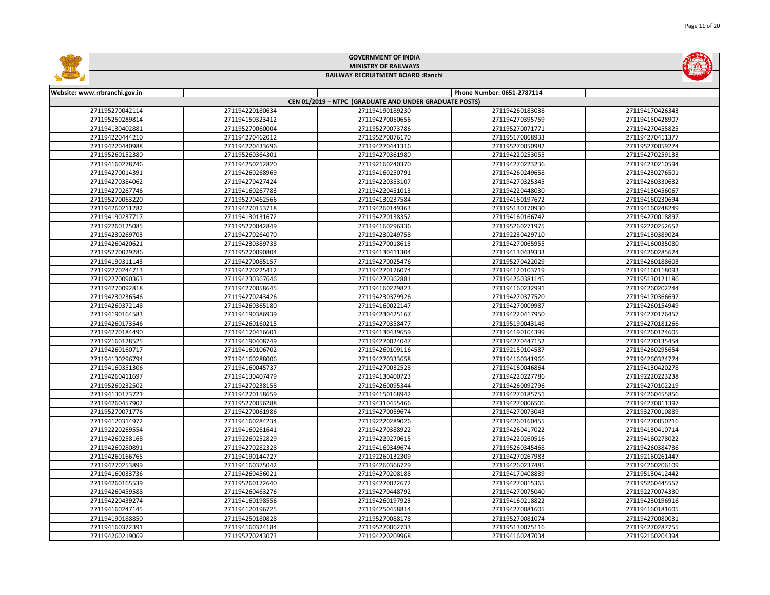|                               |                 | <b>GOVERNMENT OF INDIA</b>                             |                            |                 |  |  |  |
|-------------------------------|-----------------|--------------------------------------------------------|----------------------------|-----------------|--|--|--|
| <b>MINISTRY OF RAILWAYS</b>   |                 |                                                        |                            |                 |  |  |  |
|                               |                 | RAILWAY RECRUITMENT BOARD : Ranchi                     |                            |                 |  |  |  |
|                               |                 |                                                        |                            |                 |  |  |  |
| Website: www.rrbranchi.gov.in |                 |                                                        | Phone Number: 0651-2787114 |                 |  |  |  |
|                               |                 | CEN 01/2019 - NTPC (GRADUATE AND UNDER GRADUATE POSTS) |                            |                 |  |  |  |
| 271195270042114               | 271194220180634 | 271194190189230                                        | 271194260183038            | 271194170426343 |  |  |  |
| 271195250289814               | 271194150323412 | 271194270050656                                        | 271194270395759            | 271194150428907 |  |  |  |
| 271194130402881               | 271195270060004 | 271195270073786                                        | 271195270071771            | 271194270455825 |  |  |  |
| 271194220444210               | 271194270462012 | 271195270076170                                        | 271195170068933            | 271194270411377 |  |  |  |
| 271194220440988               | 271194220433696 | 271194270441316                                        | 271195270050982            | 271195270059274 |  |  |  |
| 271195260152380               | 271195260364301 | 271194270361980                                        | 271194220253055            | 271194270259133 |  |  |  |
| 271194160278746               | 271194250212820 | 271192160240370                                        | 271194270223236            | 271194230210594 |  |  |  |
| 271194270014391               | 271194260268969 | 271194160250791                                        | 271194260249658            | 271194230276501 |  |  |  |
| 271194270384062               | 271194270427424 | 271194220353107                                        | 271194270325345            | 271194260330632 |  |  |  |
| 271194270267746               | 271194160267783 | 271194220451013                                        | 271194220448030            | 271194130456067 |  |  |  |
| 271195270063220               | 271195270462566 | 271194130237584                                        | 271194160197672            | 271194160230694 |  |  |  |
| 271194260211282               | 271194270153718 | 271194260149363                                        | 271195130170930            | 271194160248249 |  |  |  |
| 271194190237717               | 271194130131672 | 271194270138352                                        | 271194160166742            | 271194270018897 |  |  |  |
| 271192260125085               | 271195270042849 | 271194160296336                                        | 271195260271975            | 271192220252652 |  |  |  |
| 271194230269703               | 271194270264070 | 271194230249758                                        | 271192230429710            | 271194130389024 |  |  |  |
| 271194260420621               | 271194230389738 | 271194270018613                                        | 271194270065955            | 271194160035080 |  |  |  |
| 271195270029286               | 271195270090804 | 271194130411304                                        | 271194130439333            | 271194260285624 |  |  |  |
| 271194190311143               | 271194270085157 | 271194270025476                                        | 271195270422029            | 271194260188603 |  |  |  |
| 271192270244713               | 271194270225412 | 271194270126074                                        | 271194120103719            | 271194160118093 |  |  |  |
| 271192270090363               | 271194230367646 | 271194270362881                                        | 271194260381145            | 271195130121186 |  |  |  |
| 271194270092818               | 271194270058645 | 271194160229823                                        | 271194160232991            | 271194260202244 |  |  |  |
| 271194230236546               | 271194270243426 | 271194230379926                                        | 271194270377520            | 271194170366697 |  |  |  |
| 271194260372148               | 271194260365180 | 271194160022147                                        | 271194270009987            | 271194260154949 |  |  |  |
| 271194190164583               | 271194190386939 | 271194230425167                                        | 271194220417950            | 271194270176457 |  |  |  |
| 271194260173546               | 271194260160215 | 271194270358477                                        | 271195190043148            | 271194270181266 |  |  |  |
| 271194270184490               | 271194170416601 | 271194130439659                                        | 271194190104399            | 271194260124605 |  |  |  |
| 271192160128525               | 271194190408749 | 271194270024047                                        | 271194270447152            | 271194270135454 |  |  |  |
| 271194260160717               | 271194160106702 | 271194260109116                                        | 271192150104587            | 271194260295654 |  |  |  |
| 271194130296794               | 271194160288006 | 271194270333658                                        | 271194160341966            | 271194260324774 |  |  |  |
| 271194160351306               | 271194160045737 | 271194270032528                                        | 271194160046864            | 271194130420278 |  |  |  |
| 271194260411697               | 271194130407479 | 271194130400723                                        | 271194220227786            | 271192220223238 |  |  |  |
| 271195260232502               | 271194270238158 | 271194260095344                                        | 271194260092796            | 271194270102219 |  |  |  |
| 271194130173721               | 271194270158659 | 271194150168942                                        | 271194270185751            | 271194260455856 |  |  |  |
| 271194260457902               | 271195270056288 | 271194310455466                                        | 271194270006506            | 271194270011397 |  |  |  |
| 271195270071776               | 271194270061986 | 271194270059674                                        | 271194270073043            | 271193270010889 |  |  |  |
| 271194120314972               | 271194160284234 | 271192220289026                                        | 271194260160455            | 271194270050216 |  |  |  |
| 271192220269554               | 271194160261641 | 271194270388922                                        | 271194260417022            | 271194130410714 |  |  |  |
| 271194260258168               | 271192260252829 | 271194220270615                                        | 271194220260516            | 271194160278022 |  |  |  |
| 271194260280891               | 271194270282328 | 271194160349674                                        | 271195260345468            | 271194260384736 |  |  |  |
| 271194260166765               | 271194190144727 | 271192260132309                                        | 271194270267983            | 271192160261447 |  |  |  |
| 271194270253899               | 271194160375042 | 271194260366729                                        | 271194260237485            | 271194260206109 |  |  |  |
| 271194160033736               | 271194260456021 | 271194270208188                                        | 271194170408839            | 271195130412442 |  |  |  |
| 271194260165539               | 271195260172640 | 271194270022672                                        | 271194270015365            | 271195260445557 |  |  |  |
| 271194260459588               | 271194260463276 | 271194270448792                                        | 271194270075040            | 271192270074330 |  |  |  |
| 271194220439274               | 271194160198556 | 271194260197923                                        | 271194160218822            | 271194230196916 |  |  |  |
| 271194160247145               | 271194120196725 | 271194250458814                                        | 271194270081605            | 271194160181605 |  |  |  |
| 271194190188850               | 271194250180828 | 271195270088178                                        | 271195270081074            | 271194270080031 |  |  |  |
| 271194160322391               | 271194160324184 | 271195270062733                                        | 271195130075116            | 271194270287755 |  |  |  |
| 271194260219069               | 271195270243073 | 271194220209968                                        | 271194160247034            | 271192160204394 |  |  |  |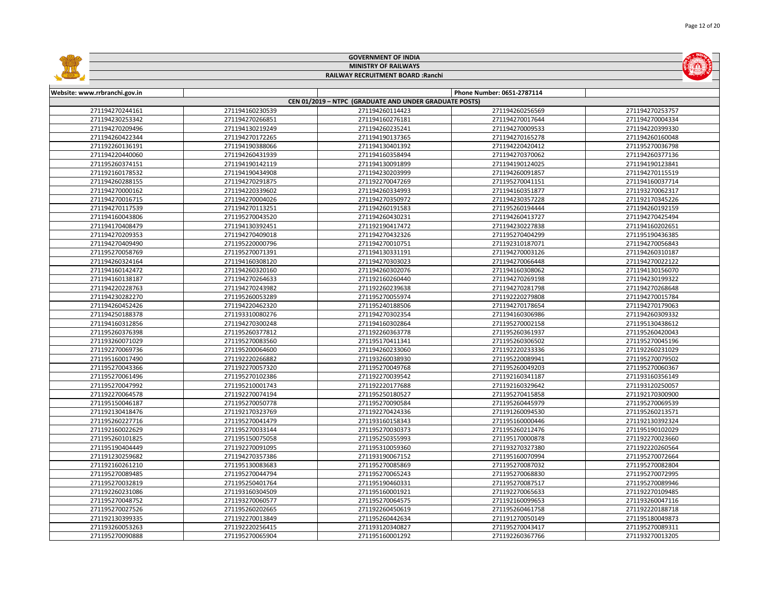|                               |                 | <b>GOVERNMENT OF INDIA</b>                             |                            |                 |  |  |  |
|-------------------------------|-----------------|--------------------------------------------------------|----------------------------|-----------------|--|--|--|
| <b>MINISTRY OF RAILWAYS</b>   |                 |                                                        |                            |                 |  |  |  |
|                               |                 | RAILWAY RECRUITMENT BOARD : Ranchi                     |                            |                 |  |  |  |
|                               |                 |                                                        |                            |                 |  |  |  |
| Website: www.rrbranchi.gov.in |                 |                                                        | Phone Number: 0651-2787114 |                 |  |  |  |
|                               |                 | CEN 01/2019 - NTPC (GRADUATE AND UNDER GRADUATE POSTS) |                            |                 |  |  |  |
| 271194270244161               | 271194160230539 | 271194260114423                                        | 271194260256569            | 271194270253757 |  |  |  |
| 271194230253342               | 271194270266851 | 271194160276181                                        | 271194270017644            | 271194270004334 |  |  |  |
| 271194270209496               | 271194130219249 | 271194260235241                                        | 271194270009533            | 271194220399330 |  |  |  |
| 271194260422344               | 271194270172265 | 271194190137365                                        | 271194270165278            | 271194260160048 |  |  |  |
| 271192260136191               | 271194190388066 | 271194130401392                                        | 271194220420412            | 271195270036798 |  |  |  |
| 271194220440060               | 271194260431939 | 271194160358494                                        | 271194270370062            | 271194260377136 |  |  |  |
| 271195260374151               | 271194190142119 | 271194130091899                                        | 271194190124025            | 271194190123841 |  |  |  |
| 271192160178532               | 271194190434908 | 271194230203999                                        | 271194260091857            | 271194270115519 |  |  |  |
| 271194260288155               | 271194270291875 | 271192270047269                                        | 271195270041151            | 271194160037714 |  |  |  |
| 271194270000162               | 271194220339602 | 271194260334993                                        | 271194160351877            | 271193270062317 |  |  |  |
| 271194270016715               | 271194270004026 | 271194270350972                                        | 271194230357228            | 271192170345226 |  |  |  |
| 271194270117539               | 271194270113251 | 271194260191583                                        | 271195260194444            | 271194260192159 |  |  |  |
| 271194160043806               | 271195270043520 | 271194260430231                                        | 271194260413727            | 271194270425494 |  |  |  |
| 271194170408479               | 271194130392451 | 271192190417472                                        | 271194230227838            | 271194160202651 |  |  |  |
| 271194270209353               | 271194270409018 | 271194270432326                                        | 271195270404299            | 271195190436385 |  |  |  |
| 271194270409490               | 271195220000796 | 271194270010751                                        | 271192310187071            | 271194270056843 |  |  |  |
| 271195270058769               | 271195270071391 | 271194130331191                                        | 271194270003126            | 271194260310187 |  |  |  |
| 271194260324164               | 271194160308120 | 271194270303023                                        | 271194270066448            | 271194270022122 |  |  |  |
| 271194160142472               | 271194260320160 | 271194260302076                                        | 271194160308062            | 271194130156070 |  |  |  |
| 271194160138187               | 271194270264633 | 271192160260440                                        | 271194270269198            | 271194230199322 |  |  |  |
| 271194220228763               | 271194270243982 | 271192260239638                                        | 271194270281798            | 271194270268648 |  |  |  |
| 271194230282270               | 271195260053289 | 271195270055974                                        | 271192220279808            | 271194270015784 |  |  |  |
| 271194260452426               | 271194220462320 | 271195240188506                                        | 271194270178654            | 271194270179063 |  |  |  |
| 271194250188378               | 271193310080276 | 271194270302354                                        | 271194160306986            | 271194260309332 |  |  |  |
| 271194160312856               | 271194270300248 | 271194160302864                                        | 271195270002158            | 271195130438612 |  |  |  |
| 271195260376398               | 271195260377812 | 271192260363778                                        | 271195260361937            | 271195260420043 |  |  |  |
| 271193260071029               | 271195270083560 | 271195170411341                                        | 271195260306502            | 271195270045196 |  |  |  |
| 271192270069736               | 271195200064600 | 271194260233060                                        | 271192220233336            | 271192260231029 |  |  |  |
| 271195160017490               | 271192220266882 | 271193260038930                                        | 271195220089941            | 271195270079502 |  |  |  |
| 271195270043366               | 271192270057320 | 271195270049768                                        | 271195260049203            | 271195270060367 |  |  |  |
| 271195270061496               | 271195270102386 | 271192270039542                                        | 271192160341187            | 271193160356149 |  |  |  |
| 271195270047992               | 271195210001743 | 271192220177688                                        | 271192160329642            | 271193120250057 |  |  |  |
| 271192270064578               | 271192270074194 | 271195250180527                                        | 271195270415858            | 271192170300900 |  |  |  |
| 271195150046187               | 271195270050778 | 271195270090584                                        | 271195260445979            | 271195270069539 |  |  |  |
| 271192130418476               | 271192170323769 | 271192270424336                                        | 271191260094530            | 271195260213571 |  |  |  |
| 271195260227716               | 271195270041479 | 271193160158343                                        | 271195160000446            | 271192130392324 |  |  |  |
| 271192160022629               | 271195270033144 | 271195270030373                                        | 271195260212476            | 271195190102029 |  |  |  |
| 271195260101825               | 271195150075058 | 271195250355993                                        | 271195170000878            | 271192270023660 |  |  |  |
| 271195190404449               | 271192270091095 | 271195310059360                                        | 271193270327380            | 271192220260564 |  |  |  |
| 271191230259682               | 271194270357386 | 271193190067152                                        | 271195160070994            | 271195270072664 |  |  |  |
| 271192160261210               | 271195130083683 | 271195270085869                                        | 271195270087032            | 271195270082804 |  |  |  |
| 271195270089485               | 271195270044794 | 271195270065243                                        | 271195270068830            | 271195270072995 |  |  |  |
| 271195270032819               | 271195250401764 | 271195190460331                                        | 271195270087517            | 271195270089946 |  |  |  |
| 271192260231086               | 271193160304509 | 271195160001921                                        | 271192270065633            | 271192270109485 |  |  |  |
| 271195270048752               | 271193270060577 | 271195270064575                                        | 271192160099653            | 271193260047116 |  |  |  |
| 271195270027526               | 271195260202665 | 271192260450619                                        | 271195260461758            | 271192220188718 |  |  |  |
| 271192130399335               | 271192270013849 | 271195260442634                                        | 271191270050149            | 271195180049873 |  |  |  |
| 271193260053263               | 271192220256415 | 271193120340827                                        | 271195270043417            | 271195270089311 |  |  |  |
| 271195270090888               | 271195270065904 | 271195160001292                                        | 271192260367766            | 271193270013205 |  |  |  |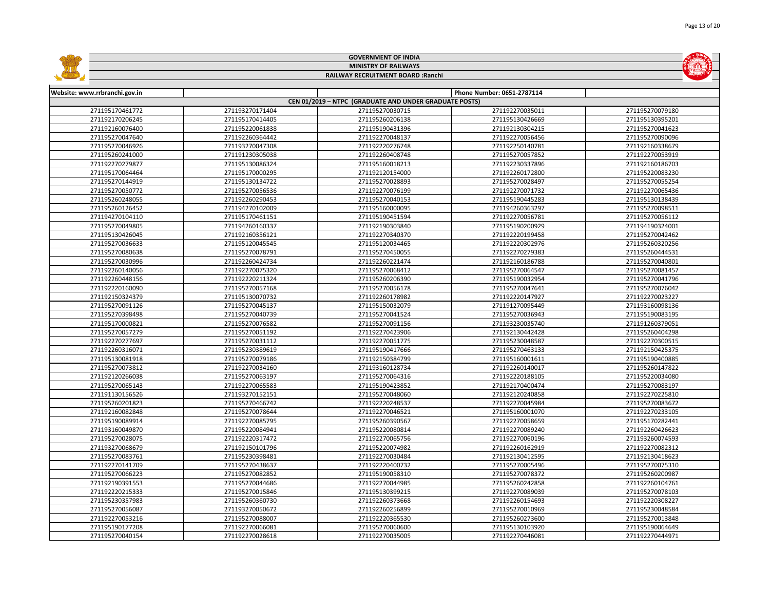|                               |                 | <b>GOVERNMENT OF INDIA</b>                             |                            |                 |
|-------------------------------|-----------------|--------------------------------------------------------|----------------------------|-----------------|
|                               |                 | <b>MINISTRY OF RAILWAYS</b>                            |                            |                 |
|                               |                 | RAILWAY RECRUITMENT BOARD : Ranchi                     |                            |                 |
|                               |                 |                                                        |                            |                 |
| Website: www.rrbranchi.gov.in |                 |                                                        | Phone Number: 0651-2787114 |                 |
|                               |                 | CEN 01/2019 - NTPC (GRADUATE AND UNDER GRADUATE POSTS) |                            |                 |
| 271195170461772               | 271193270171404 | 271195270030715                                        | 271192270035011            | 271195270079180 |
| 271192170206245               | 271195170414405 | 271195260206138                                        | 271195130426669            | 271195130395201 |
| 271192160076400               | 271195220061838 | 271195190431396                                        | 271192130304215            | 271195270041623 |
| 271195270047640               | 271192260364442 | 271192270048137                                        | 271192270056456            | 271195270090096 |
| 271195270046926               | 271193270047308 | 271192220276748                                        | 271192250140781            | 271192160338679 |
| 271195260241000               | 271191230305038 | 271192260408748                                        | 271195270057852            | 271192270053919 |
| 271192270279877               | 271195130086324 | 271195160018213                                        | 271192230337896            | 271192160186703 |
| 271195170064464               | 271195170000295 | 271192120154000                                        | 271192260172800            | 271195220083230 |
| 271195270144919               | 271195130134722 | 271195270028893                                        | 271195270028497            | 271195270055254 |
| 271195270050772               | 271195270056536 | 271192270076199                                        | 271192270071732            | 271192270065436 |
| 271195260248055               | 271192260290453 | 271195270040153                                        | 271195190445283            | 271195130138439 |
| 271195260126452               | 271194270102009 | 271195160000095                                        | 271194260363297            | 271195270098511 |
| 271194270104110               | 271195170461151 | 271195190451594                                        | 271192270056781            | 271195270056112 |
| 271195270049805               | 271194260160337 | 271192190303840                                        | 271195190200929            | 271194190324001 |
| 271195130426045               | 271192160356121 | 271192270340370                                        | 271192220199458            | 271195270042462 |
| 271195270036633               | 271195120045545 | 271195120034465                                        | 271192220302976            | 271195260320256 |
| 271195270080638               | 271195270078791 | 271195270450055                                        | 271192270279383            | 271195260444531 |
| 271195270030996               | 271192260424734 | 271192260221474                                        | 271192160186788            | 271195270040801 |
| 271192260140056               | 271192270075320 | 271195270068412                                        | 271195270064547            | 271195270081457 |
| 271192260448156               | 271192220211324 | 271195260206390                                        | 271195190032954            | 271195270041796 |
| 271192220160090               | 271195270057168 | 271195270056178                                        | 271195270047641            | 271195270076042 |
| 271192150324379               | 271195130070732 | 271192260178982                                        | 271192220147927            | 271192270023227 |
| 271195270091126               | 271195270045137 | 271195150032079                                        | 271191270095449            | 271193160098136 |
| 271195270398498               | 271195270040739 | 271195270041524                                        | 271195270036943            | 271195190083195 |
| 271195170000821               | 271195270076582 | 271195270091156                                        | 271193230035740            | 271191260379051 |
| 271195270057279               | 271195270051192 | 271192270423906                                        | 271192130442428            | 271195260404298 |
| 271192270277697               | 271195270031112 | 271192270051775                                        | 271195230048587            | 271192270300515 |
| 271192260316071               | 271195230389619 | 271195190417666                                        | 271195270463133            | 271192150425375 |
| 271195130081918               | 271195270079186 | 271192150384799                                        | 271195160001611            | 271195190400885 |
| 271195270073812               | 271192270034160 | 271193160128734                                        | 271192260140017            | 271195260147822 |
| 271192120266038               | 271195270063197 | 271195270064316                                        | 271192220188105            | 271195220034080 |
| 271195270065143               | 271192270065583 | 271195190423852                                        | 271192170400474            | 271195270083197 |
| 271191130156526               | 271193270152151 | 271195270048060                                        | 271192120240858            | 271192270225810 |
| 271195260201823               | 271195270466742 | 271192220248537                                        | 271192270045984            | 271195270083672 |
| 271192160082848               | 271195270078644 | 271192270046521                                        | 271195160001070            | 271192270233105 |
| 271195190089914               | 271192270085795 | 271195260390567                                        | 271192270058659            | 271195170282441 |
| 271193160049870               | 271195220084941 | 271195220080814                                        | 271192270089240            | 271192260426623 |
| 271195270028075               | 271192220317472 | 271192270065756                                        | 271192270060196            | 271193260074593 |
| 271193270068679               | 271192150101796 | 271195220074982                                        | 271192260162919            | 271192270082312 |
| 271195270083761               | 271195230398481 | 271192270030484                                        | 271192130412595            | 271192130418623 |
| 271192270141709               | 271195270438637 | 271192220400732                                        | 271195270005496            | 271195270075310 |
| 271195270066223               | 271195270082852 | 271195190058310                                        | 271195270078372            | 271195260200987 |
| 271192190391553               | 271195270044686 | 271192270044985                                        | 271195260242858            | 271192260104761 |
| 271192220215333               | 271195270015846 | 271195130399215                                        | 271192270089039            | 271195270078103 |
| 271195230357983               | 271195260360730 | 271192260373668                                        | 271192260154693            | 271192220308227 |
| 271195270056087               | 271193270050672 | 271192260256899                                        | 271195270010969            | 271195230048584 |
| 271192270053216               | 271195270088007 | 271192220365530                                        | 271195260273600            | 271195270013848 |
| 271195190177208               | 271192270066081 | 271195270060600                                        | 271195130103920            | 271195190064649 |
| 271195270040154               | 271192270028618 | 271192270035005                                        | 271192270446081            | 271192270444971 |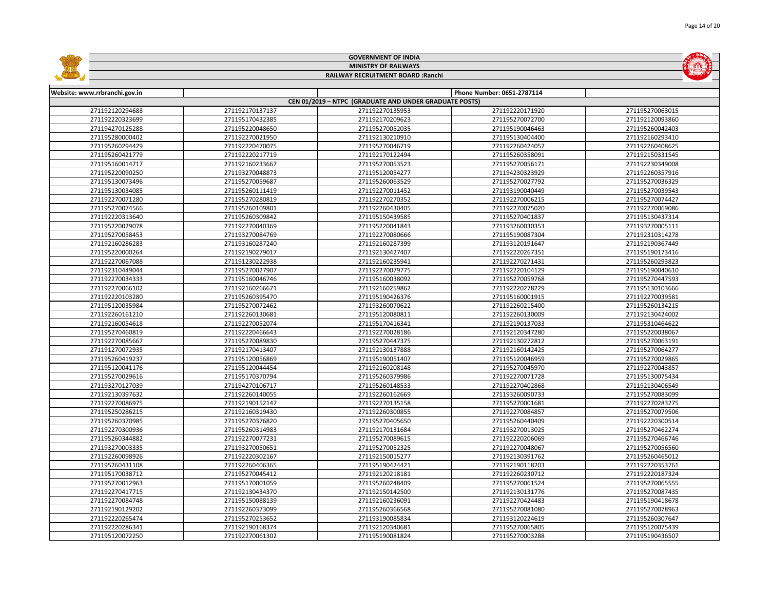|                                    |                                    | <b>GOVERNMENT OF INDIA</b>                             |                                    |                                    |
|------------------------------------|------------------------------------|--------------------------------------------------------|------------------------------------|------------------------------------|
|                                    |                                    | <b>MINISTRY OF RAILWAYS</b>                            |                                    |                                    |
|                                    |                                    | RAILWAY RECRUITMENT BOARD : Ranchi                     |                                    |                                    |
|                                    |                                    |                                                        |                                    |                                    |
| Website: www.rrbranchi.gov.in      |                                    |                                                        | Phone Number: 0651-2787114         |                                    |
|                                    |                                    | CEN 01/2019 - NTPC (GRADUATE AND UNDER GRADUATE POSTS) |                                    |                                    |
| 271192120294688                    | 271192170137137                    | 271192270135953                                        | 271192220171920                    | 271195270063015                    |
| 271192220323699                    | 271195170432385                    | 271192170209623                                        | 271195270072700                    | 271192120093860                    |
| 271194270125288                    | 271195220048650                    | 271195270052035                                        | 271195190046463                    | 271195260042403                    |
| 271195280000402                    | 271192270021950                    | 271192130210910                                        | 271195130404400                    | 271192160293410                    |
| 271195260294429                    | 271192220470075                    | 271195270046719                                        | 271192260424057                    | 271192260408625                    |
| 271195260421779                    | 271192220217719                    | 271192170122494                                        | 271195260358091                    | 271192150331545                    |
| 271195160014717                    | 271192160233667                    | 271195270053523                                        | 271195270056171                    | 271192230349008                    |
| 271195220090250                    | 271193270048873                    | 271195120054277                                        | 271194230323929                    | 271192260357916                    |
| 271195130073496                    | 271195270059687                    | 271195260063529                                        | 271195270027792                    | 271195270036329                    |
| 271195130034085                    | 271195260111419                    | 271192270011452                                        | 271193190040449                    | 271195270039543                    |
| 271192270071280                    | 271195270280819                    | 271192270270352                                        | 271192270006215                    | 271195270074427                    |
| 271195270074566                    | 271195260109801                    | 271192260430405                                        | 271192270075020                    | 271192270069086                    |
| 271192220313640                    | 271195260309842                    | 271195150439585                                        | 271195270401837                    | 271195130437314                    |
| 271195220029078                    | 271192270040369                    | 271195220041843                                        | 271193260030353                    | 271193270005111                    |
| 271195270058453                    | 271193270084769                    | 271192270080666                                        | 271195190087304                    | 271192310314278                    |
| 271192160286283                    | 271193160287240                    | 271192160287399                                        | 271193120191647                    | 271192190367449                    |
| 271195220000264                    | 271192190279017                    | 271192130427407                                        | 271192220267351                    | 271195190173416                    |
| 271192270067088                    | 271191230222938                    | 271192160235941                                        | 271192270271431                    | 271195260293823                    |
| 271192310449044                    | 271195270027907                    | 271192270079775                                        | 271192220104129                    | 271195190040610                    |
| 271192270034333                    | 271195160046746                    | 271195160038092                                        | 271195270059768                    | 271195270447593                    |
| 271192270066102                    | 271192160266671                    | 271192160259862                                        | 271192220278229                    | 271195130103666                    |
| 271192220103280                    | 271195260395470                    | 271195190426376                                        | 271195160001915                    | 271192270039581                    |
| 271195120035984                    | 271195270072462                    | 271193260070622                                        | 271192260215400                    | 271195260134215                    |
| 271192260161210                    | 271192260130681                    | 271195120080811                                        | 271192260130009                    | 271192130424002                    |
| 271192160054618                    | 271192270052074                    | 271195170416341                                        | 271192190137033                    | 271195310464622                    |
| 271195270460819                    | 271192220466643                    | 271192270028186                                        | 271192120347280                    | 271195220038067                    |
| 271192270085667                    | 271195270089830                    | 271195270447375                                        | 271192130272812                    | 271195270063191                    |
| 271191270072935                    | 271192170413407                    | 271192130137888                                        | 271192160142425                    | 271195270064277                    |
| 271195260419237                    | 271195120056869                    | 271195190051407                                        | 271195120046959                    | 271195270029865                    |
| 271195120041176                    | 271195120044454                    | 271192160208148                                        | 271195270045970                    | 271192270043857                    |
| 271195270029616                    | 271195170370794                    | 271195260379986                                        | 271192270071728                    | 271195130075434                    |
| 271193270127039                    | 271194270106717                    | 271195260148533                                        | 271192270402868                    | 271192130406549                    |
| 271192130397632                    | 271192260140055                    | 271192260162669                                        | 271193260090733                    | 271195270083099                    |
| 271192270086975                    | 271192190152147                    | 271192270135158                                        | 271195270001681                    | 271192270283275                    |
| 271195250286215                    | 271192160319430                    | 271192260300855                                        | 271192270084857                    | 271195270079506                    |
| 271195260370985                    | 271195270376820                    | 271195270405650                                        | 271195260440409                    | 271192220300514                    |
| 271192270300936                    | 271195260314983                    | 271192170131684                                        | 271193270013025                    | 271195270462274                    |
| 271195260344882                    | 271192270077231                    | 271195270089615                                        | 271192220206069                    | 271195270466746                    |
| 271193270003335                    | 271193270050651                    | 271195270052325                                        | 271192270048067                    | 271195270056560                    |
| 271192260098926                    | 271192220302167                    | 271192150015277                                        | 271192130391762                    | 271195260465012                    |
| 271195260431108                    | 271192260406365                    | 271195190424421                                        | 271192190118203                    | 271192220353761                    |
| 271195170038712                    | 271195270045412                    | 271192120218181                                        | 271192260230712                    | 271192220187324                    |
| 271195270012963                    | 271195170001059                    | 271195260248409                                        | 271195270061524                    | 271195270065555                    |
| 271192270417715                    | 271192130434370                    | 271192150142500                                        | 271192130131776                    | 271195270087435                    |
| 271192270084748                    | 271195150088139                    | 271192160236091                                        | 271192270424483                    | 271195190418678                    |
| 271192190129202                    | 271192260373099                    | 271195260366568                                        | 271195270081080                    | 271195270078963                    |
| 271192220265474                    | 271195270253652                    | 271193190085834                                        | 271193120224619                    | 271195260307647                    |
| 271192220286341<br>271195120072250 | 271192190168374<br>271192270061302 | 271192120340681<br>271195190081824                     | 271195270065805<br>271195270003288 | 271195120075439<br>271195190436507 |
|                                    |                                    |                                                        |                                    |                                    |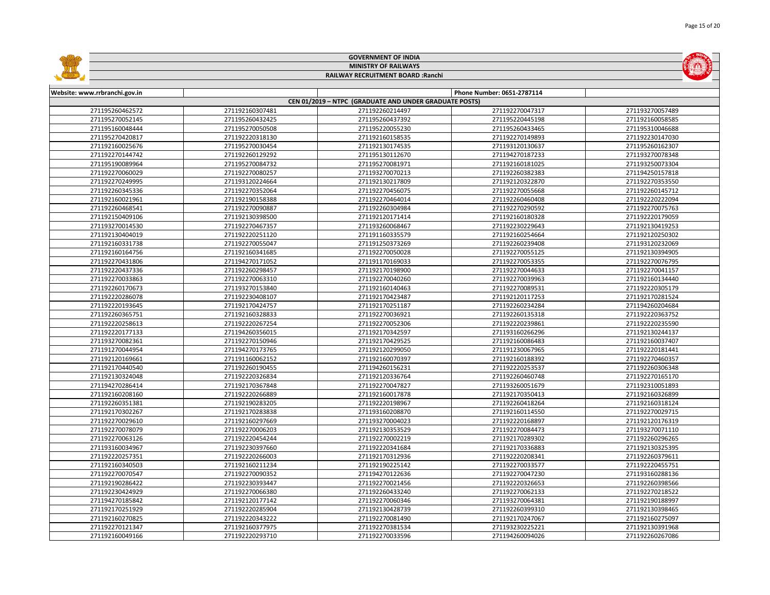|                               |                 | <b>GOVERNMENT OF INDIA</b>                             |                            |                 |
|-------------------------------|-----------------|--------------------------------------------------------|----------------------------|-----------------|
|                               |                 | <b>MINISTRY OF RAILWAYS</b>                            |                            |                 |
|                               |                 | RAILWAY RECRUITMENT BOARD : Ranchi                     |                            |                 |
|                               |                 |                                                        |                            |                 |
| Website: www.rrbranchi.gov.in |                 |                                                        | Phone Number: 0651-2787114 |                 |
|                               |                 | CEN 01/2019 - NTPC (GRADUATE AND UNDER GRADUATE POSTS) |                            |                 |
| 271195260462572               | 271192160307481 | 271192260214497                                        | 271192270047317            | 271193270057489 |
| 271195270052145               | 271195260432425 | 271195260437392                                        | 271195220445198            | 271192160058585 |
| 271195160048444               | 271195270050508 | 271195220055230                                        | 271195260433465            | 271195310046688 |
| 271195270420817               | 271192220318130 | 271192160158535                                        | 271192270149893            | 271192230147030 |
| 271192160025676               | 271195270030454 | 271192130174535                                        | 271193120130637            | 271195260162307 |
| 271192270144742               | 271192260129292 | 271195130112670                                        | 271194270187233            | 271193270078348 |
| 271195190089964               | 271195270084732 | 271195270081971                                        | 271192160181025            | 271193250073304 |
| 271192270060029               | 271192270080257 | 271193270070213                                        | 271192260382383            | 271194250157818 |
| 271192270249995               | 271193120224664 | 271192130217809                                        | 271192120322870            | 271192270353550 |
| 271192260345336               | 271192270352064 | 271192270456075                                        | 271192270055668            | 271192260145712 |
| 271192160021961               | 271192190158388 | 271192270464014                                        | 271192260460408            | 271192220222094 |
| 271192260468541               | 271192270090887 | 271192260304984                                        | 271192270290592            | 271192270075763 |
| 271192150409106               | 271192130398500 | 271192120171414                                        | 271192160180328            | 271192220179059 |
| 271193270014530               | 271192270467357 | 271193260068467                                        | 271192230229643            | 271192130419253 |
| 271192130404019               | 271192220251120 | 271191160335579                                        | 271192160254664            | 271192120250302 |
| 271192160331738               | 271192270055047 | 271191250373269                                        | 271192260239408            | 271193120232069 |
| 271192160164756               | 271192160341685 | 271192270050028                                        | 271192270055125            | 271192130394905 |
| 271192270431806               | 271194270171052 | 271191170169033                                        | 271192270053355            | 271192270076795 |
| 271192220437336               | 271192260298457 | 271192170198900                                        | 271192270044633            | 271192270041157 |
| 271192270033863               | 271192270063310 | 271192270040260                                        | 271192270039963            | 271192160134440 |
| 271192260170673               | 271193270153840 | 271192160140463                                        | 271192270089531            | 271192220305179 |
| 271192220286078               | 271192230408107 | 271192170423487                                        | 271192120117253            | 271192170281524 |
| 271192220193645               | 271192170424757 | 271192170251187                                        | 271192260234284            | 271194260204684 |
| 271192260365751               | 271192160328833 | 271192270036921                                        | 271192260135318            | 271192220363752 |
| 271192220258613               | 271192220267254 | 271192270052306                                        | 271192220239861            | 271192220235590 |
| 271192220177133               | 271194260356015 | 271192170342597                                        | 271193160266296            | 271192130244137 |
| 271193270082361               | 271192270150946 | 271192170429525                                        | 271192160086483            | 271192160037407 |
| 271191270044954               | 271194270173765 | 271192120299050                                        | 271191230067965            | 271192220181441 |
| 271192120169661               | 271191160062152 | 271192160070397                                        | 271192160188392            | 271192270460357 |
| 271192170440540               | 271192260190455 | 271194260156231                                        | 271192220253537            | 271192260306348 |
| 271192130324048               | 271192220326834 | 271192120336764                                        | 271192260460748            | 271192270165170 |
| 271194270286414               | 271192170367848 | 271192270047827                                        | 271193260051679            | 271192310051893 |
| 271192160208160               | 271192220266889 | 271192160017878                                        | 271192170350413            | 271192160326899 |
| 271192260351381               | 271192190283205 | 271192220198967                                        | 271192260418264            | 271192160318124 |
| 271192170302267               | 271192170283838 | 271193160208870                                        | 271192160114550            | 271192270029715 |
| 271192270029610               | 271192160297669 | 271193270004023                                        | 271192220168897            | 271192120176319 |
| 271192270078079               | 271192270006203 | 271192130353529                                        | 271192270084473            | 271193270071110 |
| 271192270063126               | 271192220454244 | 271192270002219                                        | 271192170289302            | 271192260296265 |
| 271193160034967               | 271192230397660 | 271192220341684                                        | 271192170336883            | 271192130325395 |
| 271192220257351               | 271192220266003 | 271192170312936                                        | 271192220208341            | 271192260379611 |
| 271192160340503               | 271192160211234 | 271192190225142                                        | 271192270033577            | 271192220455751 |
| 271192270070547               | 271192270090352 | 271194270122636                                        | 271192270047230            | 271193160288136 |
| 271192190286422               | 271192230393447 | 271192270021456                                        | 271192220326653            | 271192260398566 |
| 271192230424929               | 271192270066380 | 271192260433240                                        | 271192270062133            | 271192270218522 |
| 271194270185842               | 271192120177142 | 271192270060346                                        | 271193270064381            | 271192190188997 |
| 271192170251929               | 271192220285904 | 271192130428739                                        | 271192260399310            | 271192130398465 |
| 271192160270825               | 271192220343222 | 271192270081490                                        | 271192170247067            | 271192160275097 |
| 271192270121347               | 271192160377975 | 271192270381534                                        | 271193230225221            | 271192130391968 |
| 271192160049166               | 271192220293710 | 271192270033596                                        | 271194260094026            | 271192260267086 |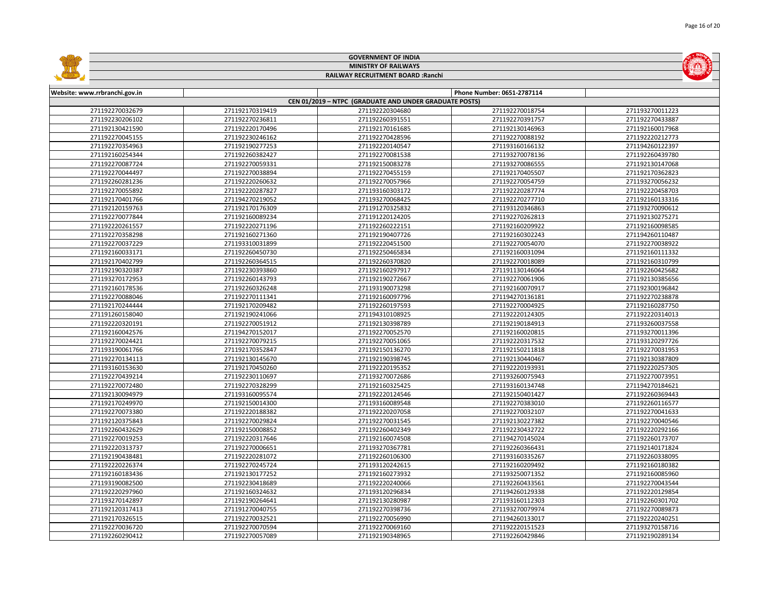|                               |                 | <b>GOVERNMENT OF INDIA</b>                             |                            |                 |
|-------------------------------|-----------------|--------------------------------------------------------|----------------------------|-----------------|
|                               |                 | <b>MINISTRY OF RAILWAYS</b>                            |                            |                 |
|                               |                 | RAILWAY RECRUITMENT BOARD : Ranchi                     |                            |                 |
|                               |                 |                                                        |                            |                 |
| Website: www.rrbranchi.gov.in |                 |                                                        | Phone Number: 0651-2787114 |                 |
|                               |                 | CEN 01/2019 - NTPC (GRADUATE AND UNDER GRADUATE POSTS) |                            |                 |
| 271192270032679               | 271192170319419 | 271192220304680                                        | 271192270018754            | 271193270011223 |
| 271192230206102               | 271192270236811 | 271192260391551                                        | 271192270391757            | 271192270433887 |
| 271192130421590               | 271192220170496 | 271192170161685                                        | 271192130146963            | 271192160017968 |
| 271192270045155               | 271192230246162 | 271192270428596                                        | 271192270088192            | 271192220212773 |
| 271192270354963               | 271192190277253 | 271192220140547                                        | 271193160166132            | 271194260122397 |
| 271192160254344               | 271192260382427 | 271192270081538                                        | 271193270078136            | 271192260439780 |
| 271192270087724               | 271192270059331 | 271192150083278                                        | 271193270086555            | 271192130147068 |
| 271192270044497               | 271192270038894 | 271192270455159                                        | 271192170405507            | 271192170362823 |
| 271192260281236               | 271192220260632 | 271192270057966                                        | 271192270054759            | 271193270056232 |
| 271192270055892               | 271192220287827 | 271193160303172                                        | 271192220287774            | 271192220458703 |
| 271192170401766               | 271194270219052 | 271193270068425                                        | 271192270277710            | 271192160133316 |
| 271192120159763               | 271192170176309 | 271191270325832                                        | 271193120346863            | 271193270090612 |
| 271192270077844               | 271192160089234 | 271191220124205                                        | 271192270262813            | 271192130275271 |
| 271192220261557               | 271192220271196 | 271192260222151                                        | 271192160209922            | 271192160098585 |
| 271192270358298               | 271192160271360 | 271192190407726                                        | 271192160302243            | 271194260110487 |
| 271192270037229               | 271193310031899 | 271192220451500                                        | 271192270054070            | 271192270038922 |
| 271192160033171               | 271192260450730 | 271192250465834                                        | 271192160031094            | 271192160111332 |
| 271192170402799               | 271192260364515 | 271192260370820                                        | 271192270018089            | 271192160310799 |
| 271192190320387               | 271192230393860 | 271192160297917                                        | 271191130146064            | 271192260425682 |
| 271193270172953               | 271192260143793 | 271192190272667                                        | 271192270061906            | 271192130385656 |
| 271192160178536               | 271192260326248 | 271193190073298                                        | 271192160070917            | 271192300196842 |
| 271192270088046               | 271192270111341 | 271192160097796                                        | 271194270136181            | 271192270238878 |
| 271192170244444               | 271192170209482 | 271192260197593                                        | 271192270004925            | 271192160287750 |
| 271191260158040               | 271192190241066 | 271194310108925                                        | 271192220124305            | 271192220314013 |
| 271192220320191               | 271192270051912 | 271192130398789                                        | 271192190184913            | 271193260037558 |
| 271192160042576               | 271194270152017 | 271192270052570                                        | 271192160020815            | 271193270011396 |
| 271192270024421               | 271192270079215 | 271192270051065                                        | 271192220317532            | 271193120297726 |
| 271193190061766               | 271192170352847 | 271192150136270                                        | 271192150211818            | 271192270031953 |
| 271192270134113               | 271192130145670 | 271192190398745                                        | 271192130440467            | 271192130387809 |
| 271193160153630               | 271192170450260 | 271192220195352                                        | 271192220193931            | 271192220257305 |
| 271192270439214               | 271192230110697 | 271193270072686                                        | 271193260075943            | 271192270073951 |
| 271192270072480               | 271192270328299 | 271192160325425                                        | 271193160134748            | 271194270184621 |
| 271192130094979               | 271193160095574 | 271192220124546                                        | 271192150401427            | 271192260369443 |
| 271192170249970               | 271192150014300 | 271193160089548                                        | 271192270383010            | 271192260116577 |
| 271192270073380               | 271192220188382 | 271192220207058                                        | 271192270032107            | 271192270041633 |
| 271192120375843               | 271192270029824 | 271192270031545                                        | 271192130227382            | 271192270040546 |
| 271192260432629               | 271192150008852 | 271192260402349                                        | 271192230432722            | 271192220292166 |
| 271192270019253               | 271192220317646 | 271192160074508                                        | 271194270145024            | 271192260173707 |
| 271192220313737               | 271192270006651 | 271193270367781                                        | 271192260366431            | 271192140171824 |
| 271192190438481               | 271192220281072 | 271192260106300                                        | 271193160335267            | 271192260338095 |
| 271192220226374               | 271192270245724 | 271193120242615                                        | 271192160209492            | 271192160180382 |
| 271192160183436               | 271192130177252 | 271192160273932                                        | 271193250071352            | 271192160085960 |
| 271193190082500               | 271192230418689 | 271192220240066                                        | 271192260433561            | 271192270043544 |
| 271192220297960               | 271192160324632 | 271193120296834                                        | 271194260129338            | 271192220129854 |
| 271193270142897               | 271192190264641 | 271192130280987                                        | 271193160112303            | 271192260301702 |
| 271192120317413               | 271191270040755 | 271192270398736                                        | 271193270079974            | 271192270089873 |
| 271192170326515               | 271192270032521 | 271192270056990                                        | 271194260133017            | 271192220240251 |
| 271192270036720               | 271192270070594 | 271192270069160                                        | 271192220151523            | 271193270158716 |
| 271192260290412               | 271192270057089 | 271192190348965                                        | 271192260429846            | 271192190289134 |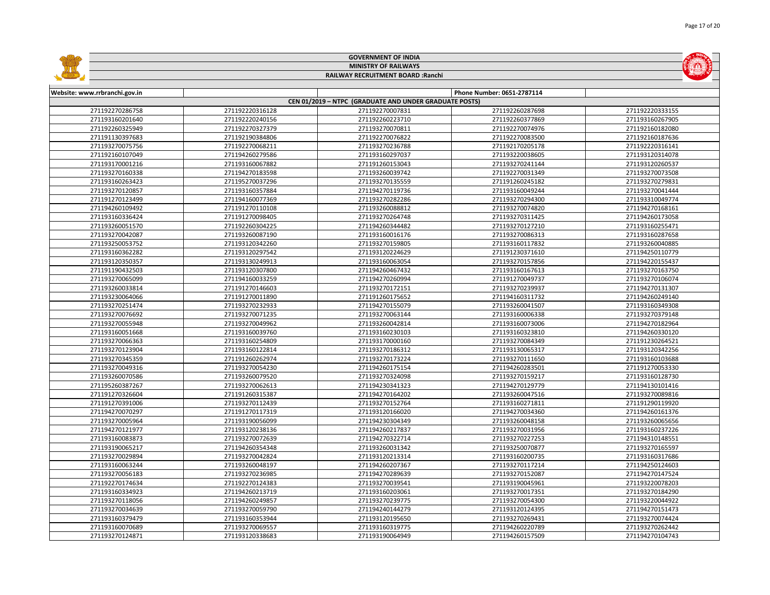|                               |                 | <b>GOVERNMENT OF INDIA</b>                             |                            |                 |
|-------------------------------|-----------------|--------------------------------------------------------|----------------------------|-----------------|
|                               |                 | <b>MINISTRY OF RAILWAYS</b>                            |                            |                 |
|                               |                 | RAILWAY RECRUITMENT BOARD : Ranchi                     |                            |                 |
|                               |                 |                                                        |                            |                 |
| Website: www.rrbranchi.gov.in |                 |                                                        | Phone Number: 0651-2787114 |                 |
|                               |                 | CEN 01/2019 - NTPC (GRADUATE AND UNDER GRADUATE POSTS) |                            |                 |
| 271192270286758               | 271192220316128 | 271192270007831                                        | 271192260287698            | 271192220333155 |
| 271193160201640               | 271192220240156 | 271192260223710                                        | 271192260377869            | 271193160267905 |
| 271192260325949               | 271192270327379 | 271193270070811                                        | 271192270074976            | 271192160182080 |
| 271191130397683               | 271192190384806 | 271192270076822                                        | 271192270083500            | 271192160187636 |
| 271193270075756               | 271192270068211 | 271193270236788                                        | 271192170205178            | 271192220316141 |
| 271192160107049               | 271194260279586 | 271193160297037                                        | 271193220038605            | 271193120314078 |
| 271193170001216               | 271193160067882 | 271191260153043                                        | 271193270241144            | 271193120260537 |
| 271193270160338               | 271194270183598 | 271193260039742                                        | 271192270031349            | 271193270073508 |
| 271193160263423               | 271195270037296 | 271193270135559                                        | 271191260245182            | 271193270279831 |
| 271193270120857               | 271193160357884 | 271194270119736                                        | 271193160049244            | 271193270041444 |
| 271191270123499               | 271194160077369 | 271193270282286                                        | 271193270294300            | 271193310049774 |
| 271194260109492               | 271191270110108 | 271193260088812                                        | 271193270074820            | 271194270168161 |
| 271193160336424               | 271191270098405 | 271193270264748                                        | 271193270311425            | 271194260173058 |
| 271193260051570               | 271192260304225 | 271194260344482                                        | 271193270127210            | 271193160255471 |
| 271193270042087               | 271193260087190 | 271193160016176                                        | 271193270086313            | 271193160287658 |
| 271193250053752               | 271193120342260 | 271193270159805                                        | 271193160117832            | 271193260040885 |
| 271193160362282               | 271193120297542 | 271193120224629                                        | 271191230371610            | 271194250110779 |
| 271193120350357               | 271193130249913 | 271193160063054                                        | 271193270157856            | 271194220155437 |
| 271191190432503               | 271193120307800 | 271194260467432                                        | 271193160167613            | 271193270163750 |
| 271193270065099               | 271194160033259 | 271194270260994                                        | 271191270049737            | 271193270106074 |
| 271193260033814               | 271191270146603 | 271193270172151                                        | 271193270239937            | 271194270131307 |
| 271193230064066               | 271191270011890 | 271191260175652                                        | 271194160311732            | 271194260249140 |
| 271193270251474               | 271193270232933 | 271194270155079                                        | 271193260041507            | 271193160349308 |
| 271193270076692               | 271193270071235 | 271193270063144                                        | 271193160006338            | 271193270379148 |
| 271193270055948               | 271193270049962 | 271193260042814                                        | 271193160073006            | 271194270182964 |
| 271193160051668               | 271193160039760 | 271193160230103                                        | 271193160323810            | 271194260330120 |
| 271193270066363               | 271193160254809 | 271193170000160                                        | 271193270084349            | 271191230264521 |
| 271193270123904               | 271193160122814 | 271193270186312                                        | 271193130065317            | 271193120342256 |
| 271193270345359               | 271191260262974 | 271193270173224                                        | 271193270111650            | 271193160103688 |
| 271193270049316               | 271193270054230 | 271194260175154                                        | 271194260283501            | 271191270053330 |
| 271193260070586               | 271193260079520 | 271193270324098                                        | 271193270159217            | 271193160128730 |
| 271195260387267               | 271193270062613 | 271194230341323                                        | 271194270129779            | 271194130101416 |
| 271191270326604               | 271191260315387 | 271194270164202                                        | 271193260047516            | 271193270089816 |
| 271191270391006               | 271193270112439 | 271193270152764                                        | 271193160271811            | 271191290119920 |
| 271194270070297               | 271191270117319 | 271193120166020                                        | 271194270034360            | 271194260161376 |
| 271193270005964               | 271193190056099 | 271194230304349                                        | 271193260048158            | 271193260065656 |
| 271194270121977               | 271193120238136 | 271194260217837                                        | 271193270031956            | 271193160237226 |
| 271193160083873               | 271193270072639 | 271194270322714                                        | 271193270227253            | 271194310148551 |
| 271193190065217               | 271194260354348 | 271193260031342                                        | 271193250070877            | 271193270165597 |
| 271193270029894               | 271193270042824 | 271193120213314                                        | 271193160200735            | 271193160317686 |
| 271193160063244               | 271193260048197 | 271194260207367                                        | 271193270117214            | 271194250124603 |
| 271193270056183               | 271193270236985 | 271194270289639                                        | 271193270152087            | 271194270147524 |
| 271192270174634               | 271192270124383 | 271193270039541                                        | 271193190045961            | 271193220078203 |
| 271193160334923               | 271194260213719 | 271193160203061                                        | 271193270017351            | 271193270184290 |
| 271193270118056               | 271194260249857 | 271193270239775                                        | 271193270054300            | 271193220044922 |
| 271193270034639               | 271193270059790 | 271194240144279                                        | 271193120124395            | 271194270151473 |
| 271193160379479               | 271193160353944 | 271193120195650                                        | 271193270269431            | 271193270074424 |
| 271193160070689               | 271193270069557 | 271193160319775                                        | 271194260220789            | 271193270262442 |
| 271193270124871               | 271193120338683 | 271193190064949                                        | 271194260157509            | 271194270104743 |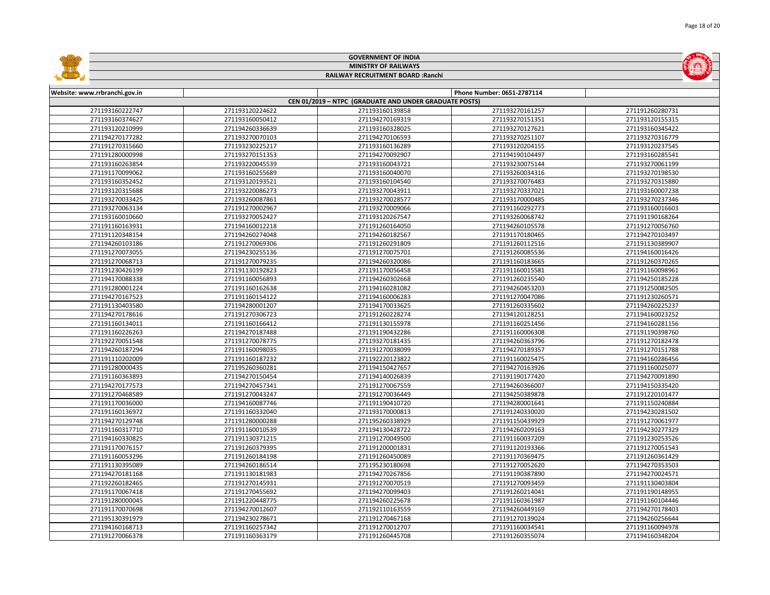|                               |                 | <b>GOVERNMENT OF INDIA</b>                             |                            |                 |
|-------------------------------|-----------------|--------------------------------------------------------|----------------------------|-----------------|
|                               |                 | <b>MINISTRY OF RAILWAYS</b>                            |                            |                 |
|                               |                 | RAILWAY RECRUITMENT BOARD : Ranchi                     |                            |                 |
|                               |                 |                                                        |                            |                 |
| Website: www.rrbranchi.gov.in |                 |                                                        | Phone Number: 0651-2787114 |                 |
|                               |                 | CEN 01/2019 - NTPC (GRADUATE AND UNDER GRADUATE POSTS) |                            |                 |
| 271193160222747               | 271193120224622 | 271193160139858                                        | 271193270161257            | 271191260280731 |
| 271193160374627               | 271193160050412 | 271194270169319                                        | 271193270151351            | 271193120155315 |
| 271193120210999               | 271194260336639 | 271193160328025                                        | 271193270127621            | 271193160345422 |
| 271194270177282               | 271193270070103 | 271194270106593                                        | 271193270251107            | 271193270316779 |
| 271191270315660               | 271193230225217 | 271193160136289                                        | 271193120204155            | 271193120237545 |
| 271191280000998               | 271193270151353 | 271194270092907                                        | 271194190104497            | 271193160285541 |
| 271193160263854               | 271193220045539 | 271193160043721                                        | 271193230075144            | 271193270061199 |
| 271191170099062               | 271193160255689 | 271193160040070                                        | 271193260034316            | 271193270198530 |
| 271193160352452               | 271193120193521 | 271193160104540                                        | 271193270076483            | 271193270315880 |
| 271193120315688               | 271193220086273 | 271193270043911                                        | 271193270337021            | 271193160007238 |
| 271193270033425               | 271193260087861 | 271193270028577                                        | 271193170000485            | 271193270237346 |
| 271193270063134               | 271191270002967 | 271193270009066                                        | 271191160292773            | 271193160016603 |
| 271193160010660               | 271193270052427 | 271193120267547                                        | 271193260068742            | 271191190168264 |
| 271191160163931               | 271194160012218 | 271191260164050                                        | 271194260105578            | 271191270056760 |
| 271191120348154               | 271194260274048 | 271194260182567                                        | 271191170180465            | 271194270103497 |
| 271194260103186               | 271191270069306 | 271191260291809                                        | 271191260112516            | 271191130389907 |
| 271191270073055               | 271194230255136 | 271191270075701                                        | 271191260085536            | 271194160016426 |
| 271191270068713               | 271191270079235 | 271194260320086                                        | 271191160183665            | 271191260370265 |
| 271191230426199               | 271191130192823 | 271191170056458                                        | 271191160015581            | 271191160098961 |
| 271194170088338               | 271191160056893 | 271194260302668                                        | 271191260235540            | 271194250185228 |
| 271191280001224               | 271191160162638 | 271194160281082                                        | 271194260453203            | 271191250082505 |
| 271194270167523               | 271191160154122 | 271194160006283                                        | 271191270047086            | 271191230260571 |
| 271191130403580               | 271194280001207 | 271194170033625                                        | 271191260335602            | 271194260225237 |
| 271194270178616               | 271191270306723 | 271191260228274                                        | 271194120128251            | 271194160023252 |
| 271191160134011               | 271191160166412 | 271191130155978                                        | 271191160251456            | 271194160281156 |
| 271191160226263               | 271194270187488 | 271191190432286                                        | 271191160006308            | 271191190398760 |
| 271192270051548               | 271191270078775 | 271193270181435                                        | 271194260363796            | 271191270182478 |
| 271194260187294               | 271191160098035 | 271191270038099                                        | 271194270189357            | 271191270151788 |
| 271191110202009               | 271191160187232 | 271192220123822                                        | 271191160025475            | 271194160286456 |
| 271191280000435               | 271195260360281 | 271194150427657                                        | 271194270163926            | 271191160025077 |
| 271191160363893               | 271194270150454 | 271194140026839                                        | 271191190177420            | 271194270091890 |
| 271194270177573               | 271194270457341 | 271191270067559                                        | 271194260366007            | 271194150335420 |
| 271191270468589               | 271191270043247 | 271191270036449                                        | 271194250389878            | 271191220101477 |
| 271191170036000               | 271194160087746 | 271191190410720                                        | 271194280001641            | 271191150240884 |
| 271191160136972               | 271191160332040 | 271193170000813                                        | 271191240330020            | 271194230281502 |
| 271194270129748               | 271191280000288 | 271195260338929                                        | 271191150439929            | 271191270061977 |
| 271191160317710               | 271191160010539 | 271194130428722                                        | 271194260209163            | 271194230277329 |
| 271194160330825               | 271191130371215 | 271191270049500                                        | 271191160037209            | 271191230253526 |
| 271191170076157               | 271191260379395 | 271191200001831                                        | 271191120193366            | 271191270051543 |
| 271191160053296               | 271191260184198 | 271191260450089                                        | 271191170369475            | 271191260361429 |
| 271191130395089               | 271194260186514 | 271195230180698                                        | 271191270052620            | 271194270353503 |
| 271194270181168               | 271191130181983 | 271194270267856                                        | 271191190387890            | 271194270024571 |
| 271192260182465               | 271191270145931 | 271191270070519                                        | 271191270093459            | 271191130403804 |
| 271191170067418               | 271191270455692 | 271194270099403                                        | 271191260214041            | 271191190148955 |
| 271191280000045               | 271191220448775 | 271194260225678                                        | 271191160361987            | 271191160104446 |
| 271191170070698               | 271194270012607 | 271192110163559                                        | 271194260449169            | 271194270178403 |
| 271195130391979               | 271194230278671 | 271191270467168                                        | 271191270139024            | 271194260256644 |
| 271194160168713               | 271191160257342 | 271191270012707                                        | 271191160034541            | 271191160094978 |
| 271191270066378               | 271191160363179 | 271191260445708                                        | 271191260355074            | 271194160348204 |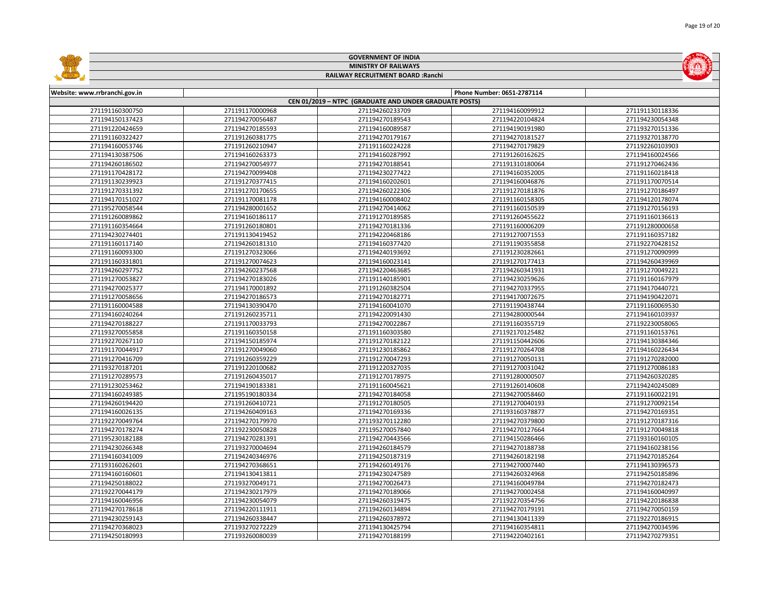|                               |                 | <b>GOVERNMENT OF INDIA</b>                             |                            |                 |
|-------------------------------|-----------------|--------------------------------------------------------|----------------------------|-----------------|
|                               |                 | <b>MINISTRY OF RAILWAYS</b>                            |                            |                 |
|                               |                 | RAILWAY RECRUITMENT BOARD : Ranchi                     |                            |                 |
|                               |                 |                                                        |                            |                 |
| Website: www.rrbranchi.gov.in |                 |                                                        | Phone Number: 0651-2787114 |                 |
|                               |                 | CEN 01/2019 - NTPC (GRADUATE AND UNDER GRADUATE POSTS) |                            |                 |
| 271191160300750               | 271191170000968 | 271194260233709                                        | 271194160099912            | 271191130118336 |
| 271194150137423               | 271194270056487 | 271194270189543                                        | 271194220104824            | 271194230054348 |
| 271191220424659               | 271194270185593 | 271194160089587                                        | 271194190191980            | 271193270151336 |
| 271191160322427               | 271191260381775 | 271194270179167                                        | 271194270181527            | 271193270138770 |
| 271194160053746               | 271191260210947 | 271191160224228                                        | 271194270179829            | 271192260103903 |
| 271194130387506               | 271194160263373 | 271194160287992                                        | 271191260162625            | 271194160024566 |
| 271194260186502               | 271194270054977 | 271194270188541                                        | 271191310180064            | 271191270462436 |
| 271191170428172               | 271194270099408 | 271194230277422                                        | 271194160352005            | 271191160218418 |
| 271191130239923               | 271191270377415 | 271194160202601                                        | 271194160046876            | 271191170070514 |
| 271191270331392               | 271191270170655 | 271194260222306                                        | 271191270181876            | 271191270186497 |
| 271194170151027               | 271191170081178 | 271194160008402                                        | 271191160158305            | 271194120178074 |
| 271195270058544               | 271194280001652 | 271194270414062                                        | 271191160150539            | 271191270156193 |
| 271191260089862               | 271194160186117 | 271191270189585                                        | 271191260455622            | 271191160136613 |
| 271191160354664               | 271191260180801 | 271194270181336                                        | 271191160006209            | 271191280000658 |
| 271194230274401               | 271191130419452 | 271194220468186                                        | 271191270071553            | 271191160357182 |
| 271191160117140               | 271194260181310 | 271194160377420                                        | 271191190355858            | 271192270428152 |
| 271191160093300               | 271191270323066 | 271194240193692                                        | 271191230282661            | 271191270090999 |
| 271191160331801               | 271191270074623 | 271194160023141                                        | 271191270177413            | 271194260439969 |
| 271194260297752               | 271194260237568 | 271194220463685                                        | 271194260341931            | 271191270049221 |
| 271191270053827               | 271194270183026 | 271191140185901                                        | 271194230259626            | 271191160167979 |
| 271194270025377               | 271194170001892 | 271191260382504                                        | 271194270337955            | 271194170440721 |
| 271191270058656               | 271194270186573 | 271194270182771                                        | 271194170072675            | 271194190422071 |
| 271191160004588               | 271194130390470 | 271194160041070                                        | 271191190438744            | 271191160069530 |
| 271194160240264               | 271191260235711 | 271194220091430                                        | 271194280000544            | 271194160103937 |
| 271194270188227               | 271191170033793 | 271194270022867                                        | 271191160355719            | 271192230058065 |
| 271193270055858               | 271191160350158 | 271191160303580                                        | 271192170125482            | 271191160153761 |
| 271192270267110               | 271194150185974 | 271191270182122                                        | 271191150442606            | 271194130384346 |
| 271191170044917               | 271191270049060 | 271191230185862                                        | 271191270264708            | 271194160226434 |
| 271191270416709               | 271191260359229 | 271191270047293                                        | 271191270050131            | 271191270282000 |
| 271193270187201               | 271191220100682 | 271191220327035                                        | 271191270031042            | 271191270086183 |
| 271191270289573               | 271191260435017 | 271191270178975                                        | 271191280000507            | 271194260320285 |
| 271191230253462               | 271194190183381 | 271191160045621                                        | 271191260140608            | 271194240245089 |
| 271194160249385               | 271195190180334 | 271194270184058                                        | 271194270058460            | 271191160022191 |
| 271194260194420               | 271191260410721 | 271191270180505                                        | 271191270040193            | 271191270092154 |
| 271194160026135               | 271194260409163 | 271194270169336                                        | 271193160378877            | 271194270169351 |
| 271192270049764               | 271194270179970 | 271193270112280                                        | 271194270379800            | 271191270187316 |
| 271194270178274               | 271192230050828 | 271195270057840                                        | 271194270127664            | 271191270049818 |
| 271195230182188               | 271194270281391 | 271194270443566                                        | 271194150286466            | 271193160160105 |
| 271194230266348               | 271193270004694 | 271194260184579                                        | 271194270188738            | 271194160238156 |
| 271194160341009               | 271194240346976 | 271194250187319                                        | 271194260182198            | 271194270185264 |
| 271193160262601               | 271194270368651 | 271194260149176                                        | 271194270007440            | 271194130396573 |
| 271194160160601               | 271194130413811 | 271194230247589                                        | 271194260324968            | 271194250185896 |
| 271194250188022               | 271193270049171 | 271194270026473                                        | 271194160049784            | 271194270182473 |
| 271192270044179               | 271194230217979 | 271194270189066                                        | 271194270002458            | 271194160040997 |
| 271194160046956               | 271194230054079 | 271194260319475                                        | 271192270354756            | 271194220186838 |
| 271194270178618               | 271194220111911 | 271194260134894                                        | 271194270179191            | 271194270050159 |
| 271194230259143               | 271194260338447 | 271194260378972                                        | 271194130411339            | 271192270186915 |
| 271194270368023               | 271193270272229 | 271194130425794                                        | 271194160354811            | 271194270034596 |
| 271194250180993               | 271193260080039 | 271194270188199                                        | 271194220402161            | 271194270279351 |